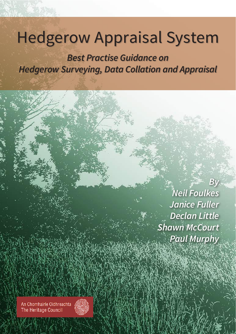# Hedgerow Appraisal System

**Best Practise Guidance on Hedgerow Surveying, Data Collation and Appraisal**

i

**By Neil Foulkes Janice Fuller Declan Little Shawn McCourt Paul Murphy**

An Chomhairle Oidhreachta The Heritage Council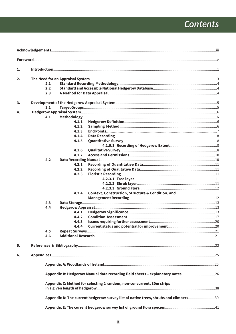## **Contents**

| 1. |            |       |                                                                                     |  |
|----|------------|-------|-------------------------------------------------------------------------------------|--|
| 2. |            |       |                                                                                     |  |
|    | 2.1        |       |                                                                                     |  |
|    | 2.2        |       |                                                                                     |  |
|    | 2.3        |       |                                                                                     |  |
|    |            |       |                                                                                     |  |
| 3. |            |       |                                                                                     |  |
|    | 3.1        |       |                                                                                     |  |
| 4. |            |       |                                                                                     |  |
|    | 4.1        |       |                                                                                     |  |
|    |            | 4.1.1 |                                                                                     |  |
|    |            | 4.1.2 |                                                                                     |  |
|    |            | 4.1.3 |                                                                                     |  |
|    |            | 4.1.4 |                                                                                     |  |
|    |            | 4.1.5 |                                                                                     |  |
|    |            |       |                                                                                     |  |
|    |            | 4.1.6 |                                                                                     |  |
|    |            | 4.1.7 |                                                                                     |  |
|    | 4.2        |       |                                                                                     |  |
|    |            | 4.2.1 |                                                                                     |  |
|    |            | 4.2.2 |                                                                                     |  |
|    |            | 4.2.3 |                                                                                     |  |
|    |            |       |                                                                                     |  |
|    |            |       |                                                                                     |  |
|    |            |       |                                                                                     |  |
|    |            | 4.2.4 | <b>Context, Construction, Structure &amp; Condition, and</b>                        |  |
|    |            |       |                                                                                     |  |
|    | 4.3<br>4.4 |       |                                                                                     |  |
|    |            | 4.4.1 |                                                                                     |  |
|    |            | 4.4.2 |                                                                                     |  |
|    |            | 4.4.3 |                                                                                     |  |
|    |            | 4.4.4 |                                                                                     |  |
|    | 4.5        |       |                                                                                     |  |
|    | 4.6        |       |                                                                                     |  |
|    |            |       |                                                                                     |  |
| 5. |            |       |                                                                                     |  |
|    |            |       |                                                                                     |  |
| 6. |            |       |                                                                                     |  |
|    |            |       |                                                                                     |  |
|    |            |       | Appendix B: Hedgerow Manual data recording field sheets - explanatory notes26       |  |
|    |            |       | Appendix C: Method for selecting 2 random, non-concurrent, 30m strips               |  |
|    |            |       | Appendix D: The current hedgerow survey list of native trees, shrubs and climbers39 |  |
|    |            |       |                                                                                     |  |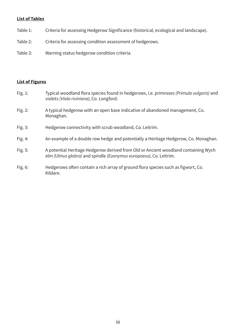#### **List of Tables**

- Table 1: Criteria for assessing Hedgerow Significance (historical, ecological and landscape).
- Criteria for assessing condition assessment of hedgerows. Table 2:
- Table 3: Warning status hedgerow condition criteria.

#### **List of Figures**

- Typical woodland flora species found in hedgerows, i.e. primroses (Primula vulgaris) and Fig. 1: violets (Viola riviniana), Co. Longford.
- Fig. 2: A typical hedgerow with an open base indicative of abandoned management, Co. Monaghan.
- Hedgerow connectivity with scrub woodland, Co. Leitrim. Fig. 3:
- An example of a double row hedge and potentially a Heritage Hedgerow, Co. Monaghan. Fig. 4:
- Fig. 5: A potential Heritage Hedgerow derived from Old or Ancient woodland containing Wych elm (Ulmus glabra) and spindle (Euonymus europaeus), Co. Leitrim.
- Hedgerows often contain a rich array of ground flora species such as figwort, Co. Fig. 6: Kildare.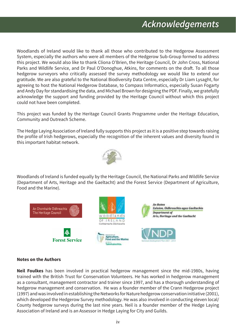Woodlands of Ireland would like to thank all those who contributed to the Hedgerow Assessment System, especially the authors who were all members of the Hedgerow Sub-Group formed to address this project. We would also like to thank Cliona O'Brien, the Heritage Council, Dr John Cross, National Parks and Wildlife Service, and Dr Paul O'Donoghue, Atkins, for comments on the draft. To all those hedgerow surveyors who critically assessed the survey methodology we would like to extend our gratitude. We are also grateful to the National Biodiversity Data Centre, especially Dr Liam Lysaght, for agreeing to host the National Hedgerow Database, to Compass Informatics, especially Susan Fogarty and Andy Day for standardising the data, and Michael Brown for designing the PDF. Finally, we gratefully acknowledge the support and funding provided by the Heritage Council without which this project could not have been completed.

This project was funded by the Heritage Council Grants Programme under the Heritage Education, Community and Outreach Scheme.

The Hedge Laying Association of Ireland fully supports this project as it is a positive step towards raising the profile of Irish hedgerows, especially the recognition of the inherent values and diversity found in this important habitat network.



Woodlands of Ireland is funded equally by the Heritage Council, the National Parks and Wildlife Service (Department of Arts, Heritage and the Gaeltacht) and the Forest Service (Department of Agriculture, Food and the Marine).



#### **Notes on the Authors**

Neil Foulkes has been involved in practical hedgerow management since the mid-1980s, having trained with the British Trust for Conservation Volunteers. He has worked in hedgerow management as a consultant, management contractor and trainer since 1997, and has a thorough understanding of hedgerow management and conservation. He was a founder member of the Crann Hedgerow project (1997) and was involved in establishing the Networks for Nature hedgerow conservation initiative (2001), which developed the Hedgerow Survey methodology. He was also involved in conducting eleven local/ County hedgerow surveys during the last nine years. Neil is a founder member of the Hedge Laying Association of Ireland and is an Assessor in Hedge Laying for City and Guilds.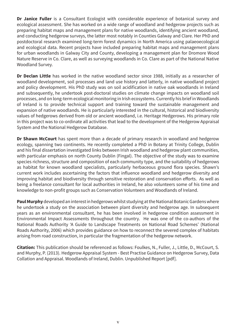Dr Janice Fuller is a Consultant Ecologist with considerable experience of botanical survey and ecological assessment. She has worked on a wide range of woodland and hedgerow projects such as preparing habitat maps and management plans for native woodlands, identifying ancient woodland, and conducting hedgerow surveys, the latter most notably in Counties Galway and Clare. Her PhD and postdoctoral research examined long-term forest dynamics in North America using palaeoecological and ecological data. Recent projects have included preparing habitat maps and management plans for urban woodlands in Galway City and County, developing a management plan for Dromore Wood Nature Reserve in Co. Clare, as well as surveying woodlands in Co. Clare as part of the National Native Woodland Survey.

Dr Declan Little has worked in the native woodland sector since 1988, initially as a researcher of woodland development, soil processes and land use history and latterly, in native woodland project and policy development. His PhD study was on soil acidification in native oak woodlands in Ireland and subsequently, he undertook post-doctoral studies on climate change impacts on woodland soil processes, and on long-term ecological monitoring in Irish ecosystems. Currently his brief in Woodlands of Ireland is to provide technical support and training toward the sustainable management and expansion of native woodlands. He is particularly interested in the cultural, historical and biodiversity values of hedgerows derived from old or ancient woodland, i.e. Heritage Hedgerows. His primary role in this project was to co-ordinate all activities that lead to the development of the Hedgerow Appraisal System and the National Hedgerow Database.

Dr Shawn McCourt has spent more than a decade of primary research in woodland and hedgerow ecology, spanning two continents. He recently completed a PhD in Botany at Trinity College, Dublin and his final dissertation investigated links between Irish woodland and hedgerow plant communities, with particular emphasis on north County Dublin (Fingal). The objective of the study was to examine species richness, structure and composition of each community type, and the suitability of hedgerows as habitat for known woodland specialists, particularly herbaceous ground flora species. Shawn's current work includes ascertaining the factors that influence woodland and hedgerow diversity and improving habitat and biodiversity through sensitive restoration and conservation efforts. As well as being a freelance consultant for local authorities in Ireland, he also volunteers some of his time and knowledge to non-profit groups such as Conservation Volunteers and Woodlands of Ireland.

Paul Murphy developed an interest in hedgerows whilst studying at the National Botanic Gardens where he undertook a study on the association between plant diversity and hedgerow age. In subsequent years as an environmental consultant, he has been involved in hedgerow condition assessment in Environmental Impact Assessments throughout the country. He was one of the co-authors of the National Roads Authority 'A Guide to Landscape Treatments on National Road Schemes' (National Roads Authority, 2006) which provides guidance on how to reconnect the severed complex of habitats arising from road construction, in particular the fragmentation of the hedgerow network.

Citation: This publication should be referenced as follows: Foulkes, N., Fuller, J., Little, D., McCourt, S. and Murphy, P. (2013). Hedgerow Appraisal System - Best Practise Guidance on Hedgerow Survey, Data Collation and Appraisal. Woodlands of Ireland, Dublin. Unpublished Report [pdf].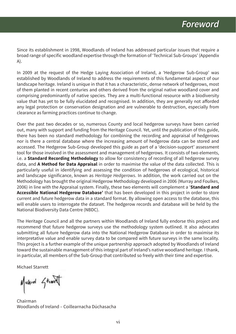Since its establishment in 1998, Woodlands of Ireland has addressed particular issues that require a broad range of specific woodland expertise through the formation of 'Technical Sub-Groups' (Appendix  $A$ ).

In 2009 at the request of the Hedge Laying Association of Ireland, a 'Hedgerow Sub-Group' was established by Woodlands of Ireland to address the requirements of this fundamental aspect of our landscape heritage. Ireland is unique in that it has a characteristic, dense network of hedgerows, most of them planted in recent centuries and others derived from the original native woodland cover and comprising predominantly of native species. They are a multi-functional resource with a biodiversity value that has yet to be fully elucidated and recognised. In addition, they are generally not afforded any legal protection or conservation designation and are vulnerable to destruction, especially from clearance as farming practices continue to change.

Over the past two decades or so, numerous County and local hedgerow surveys have been carried out, many with support and funding from the Heritage Council. Yet, until the publication of this guide, there has been no standard methodology for combining the recording and appraisal of hedgerows nor is there a central database where the increasing amount of hedgerow data can be stored and accessed. The Hedgerow Sub-Group developed this guide as part of a 'decision-support' assessment tool for those involved in the assessment and management of hedgerows. It consists of two elements, i.e. a **Standard Recording Methodology** to allow for consistency of recording of all hedgerow survey data, and A Method for Data Appraisal in order to maximise the value of the data collected. This is particularly useful in identifying and assessing the condition of hedgerows of ecological, historical and landscape significance, known as *Heritage Hedgerows*. In addition, the work carried out on the Methodology has brought the original Hedgerow Methodology developed in 2006 (Murray and Foulkes, 2006) in line with the Appraisal system. Finally, these two elements will complement a 'Standard and Accessible National Hedgerow Database' that has been developed in this project in order to store current and future hedgerow data in a standard format. By allowing open access to the database, this will enable users to interrogate the dataset. The hedgerow records and database will be held by the National Biodiversity Data Centre (NBDC).

The Heritage Council and all the partners within Woodlands of Ireland fully endorse this project and recommend that future hedgerow surveys use the methodology system outlined. It also advocates submitting all future hedgerow data into the National Hedgerow Database in order to maximise its interpretative value and enable survey data to be compared with future surveys in the same locality. This project is a further example of the unique partnership approach adopted by Woodlands of Ireland toward the sustainable management of this integral part of Ireland's native woodland heritage. I thank, in particular, all members of the Sub-Group that contributed so freely with their time and expertise.

**Michael Starrett** 

Muhrd Stand

Chairman Woodlands of Ireland - Coillearnacha Dúchasacha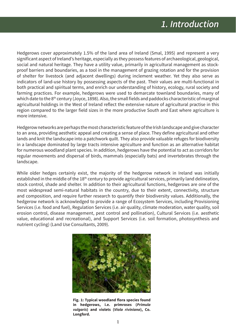Hedgerows cover approximately 1.5% of the land area of Ireland (Smal, 1995) and represent a very significant aspect of Ireland's heritage, especially as they possess features of archaeological, geological, social and natural heritage. They have a utility value, primarily in agricultural management as stockproof barriers and boundaries, as a tool in the management of grazing rotation and for the provision of shelter for livestock (and adjacent dwellings) during inclement weather. Yet they also serve as indicators of land-use history by possessing aspects of the past. Their values are multi-functional in both practical and spiritual terms, and enrich our understanding of history, ecology, rural society and farming practices. For example, hedgerows were used to demarcate townland boundaries, many of which date to the 8<sup>th</sup> century (Joyce, 1898). Also, the small fields and paddocks characteristic of marginal agricultural holdings in the West of Ireland reflect the extensive nature of agricultural practise in this region compared to the larger field sizes in the more productive South and East where agriculture is more intensive.

Hedgerow networks are perhaps the most characteristic feature of the Irish landscape and give character to an area, providing aesthetic appeal and creating a sense of place. They define agricultural and other lands and knit the landscape into a patchwork quilt. They also provide valuable refuges for biodiversity in a landscape dominated by large tracts intensive agriculture and function as an alternative habitat for numerous woodland plant species. In addition, hedgerows have the potential to act as corridors for regular movements and dispersal of birds, mammals (especially bats) and invertebrates through the landscape.

While older hedges certainly exist, the majority of the hedgerow network in Ireland was initially established in the middle of the 18<sup>th</sup> century to provide agricultural services, primarily land delineation, stock control, shade and shelter. In addition to their agricultural functions, hedgerows are one of the most widespread semi-natural habitats in the country, due to their extent, connectivity, structure and composition, and require further research to quantify their biodiversity values. Additionally, the hedgerow network is acknowledged to provide a range of Ecosystem Services, including Provisioning Services (i.e. food and fuel), Regulation Services (i.e. air quality, climate moderation, water quality, soil erosion control, disease management, pest control and pollination), Cultural Services (i.e. aesthetic value, educational and recreational), and Support Services (i.e. soil formation, photosynthesis and nutrient cycling) (Land Use Consultants, 2009).



Fig. 1: Typical woodland flora species found in hedgerows, i.e. primroses (Primula vulgaris) and violets (Viola riviniana), Co. Longford.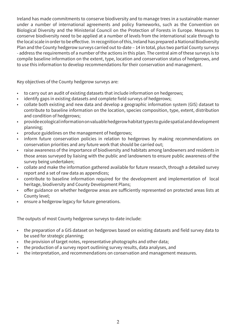Ireland has made commitments to conserve biodiversity and to manage trees in a sustainable manner under a number of international agreements and policy frameworks, such as the Convention on Biological Diversity and the Ministerial Council on the Protection of Forests in Europe. Measures to conserve biodiversity need to be applied at a number of levels from the international scale through to the local scale in order to be effective. In recognition of this, Ireland has prepared a National Biodiversity Plan and the County hedgerow surveys carried out to-date – 14 in total, plus two partial County surveys - address the requirements of a number of the actions in this plan. The central aim of these surveys is to compile baseline information on the extent, type, location and conservation status of hedgerows, and to use this information to develop recommendations for their conservation and management.

Key objectives of the County hedgerow surveys are:

- to carry out an audit of existing datasets that include information on hedgerows;  $\bullet$
- identify gaps in existing datasets and complete field surveys of hedgerows;
- collate both existing and new data and develop a geographic information system (GIS) dataset to  $\bullet$ contribute to baseline information on the location, species composition, type, extent, distribution and condition of hedgerows;
- provide ecological information on valuable hedgerow habitat types to guide spatial and development  $\bullet$ planning;
- produce guidelines on the management of hedgerows;
- inform future conservation policies in relation to hedgerows by making recommendations on conservation priorities and any future work that should be carried out;
- raise awareness of the importance of biodiversity and habitats among landowners and residents in  $\bullet$ those areas surveyed by liaising with the public and landowners to ensure public awareness of the survey being undertaken;
- collate and make the information gathered available for future research, through a detailed survey  $\bullet$ report and a set of raw data as appendices;
- contribute to baseline information required for the development and implementation of local heritage, biodiversity and County Development Plans;
- offer guidance on whether hedgerow areas are sufficiently represented on protected areas lists at  $\bullet$ County level;
- ensure a hedgerow legacy for future generations.

The outputs of most County hedgerow surveys to-date include:

- the preparation of a GIS dataset on hedgerows based on existing datasets and field survey data to  $\bullet$  . be used for strategic planning;
- the provision of target notes, representative photographs and other data;
- the production of a survey report outlining survey results, data analyses, and  $\bullet$
- the interpretation, and recommendations on conservation and management measures.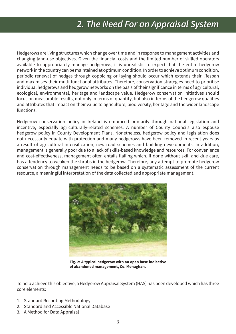## 2. The Need For an Appraisal System

Hedgerows are living structures which change over time and in response to management activities and changing land-use objectives. Given the financial costs and the limited number of skilled operators available to appropriately manage hedgerows, it is unrealistic to expect that the entire hedgerow network in the country can be maintained at optimum condition. In order to achieve optimum condition, periodic renewal of hedges through coppicing or laying should occur which extends their lifespan and maximises their multi-functional attributes. Therefore, conservation strategies need to prioritise individual hedgerows and hedgerow networks on the basis of their significance in terms of agricultural, ecological, environmental, heritage and landscape value. Hedgerow conservation initiatives should focus on measurable results, not only in terms of quantity, but also in terms of the hedgerow qualities and attributes that impact on their value to agriculture, biodiversity, heritage and the wider landscape functions.

Hedgerow conservation policy in Ireland is embraced primarily through national legislation and incentive, especially agriculturally-related schemes. A number of County Councils also espouse hedgerow policy in County Development Plans. Nonetheless, hedgerow policy and legislation does not necessarily equate with protection and many hedgerows have been removed in recent years as a result of agricultural intensification, new road schemes and building developments. In addition, management is generally poor due to a lack of skills-based knowledge and resources. For convenience and cost-effectiveness, management often entails flailing which, if done without skill and due care, has a tendency to weaken the shrubs in the hedgerow. Therefore, any attempt to promote hedgerow conservation through management needs to be based on a systematic assessment of the current resource, a meaningful interpretation of the data collected and appropriate management.



Fig. 2: A typical hedgerow with an open base indicative of abandoned management, Co. Monaghan.

To help achieve this objective, a Hedgerow Appraisal System (HAS) has been developed which has three core elements:

- 1. Standard Recording Methodology
- 2. Standard and Accessible National Database
- 3. A Method for Data Appraisal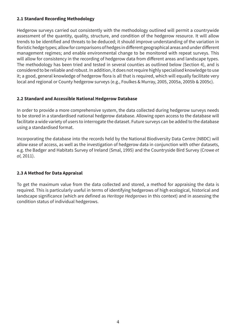#### 2.1 Standard Recording Methodology

Hedgerow surveys carried out consistently with the methodology outlined will permit a countrywide assessment of the quantity, quality, structure, and condition of the hedgerow resource. It will allow trends to be identified and threats to be deduced; it should improve understanding of the variation in floristic hedge types; allow for comparisons of hedges in different geographical areas and under different management regimes; and enable environmental change to be monitored with repeat surveys. This will allow for consistency in the recording of hedgerow data from different areas and landscape types. The methodology has been tried and tested in several counties as outlined below (Section 4), and is considered to be reliable and robust. In addition, it does not require highly specialised knowledge to use it; a good, general knowledge of hedgerow flora is all that is required, which will equally facilitate very local and regional or County hedgerow surveys (e.g., Foulkes & Murray, 2005, 2005a, 2005b & 2005c).

#### 2.2 Standard and Accessible National Hedgerow Database

In order to provide a more comprehensive system, the data collected during hedgerow surveys needs to be stored in a standardised national hedgerow database. Allowing open access to the database will facilitate a wide variety of users to interrogate the dataset. Future surveys can be added to the database using a standardised format.

Incorporating the database into the records held by the National Biodiversity Data Centre (NBDC) will allow ease of access, as well as the investigation of hedgerow data in conjunction with other datasets, e.g. the Badger and Habitats Survey of Ireland (Smal, 1995) and the Countryside Bird Survey (Crowe et al, 2011).

#### 2.3 A Method for Data Appraisal

To get the maximum value from the data collected and stored, a method for appraising the data is required. This is particularly useful in terms of identifying hedgerows of high ecological, historical and landscape significance (which are defined as *Heritage Hedgerows* in this context) and in assessing the condition status of individual hedgerows.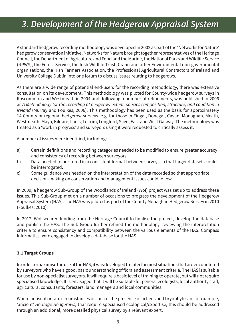## 3. Development of the Hedgerow Appraisal System

A standard hedgerow recording methodology was developed in 2002 as part of the 'Networks for Nature' hedgerow conservation initiative. Networks for Nature brought together representatives of the Heritage Council, the Department of Agriculture and Food and the Marine, the National Parks and Wildlife Service (NPWS), the Forest Service, the Irish Wildlife Trust, Crann and other Environmental non-governmental organisations, the Irish Farmers Association, the Professional Agricultural Contractors of Ireland and University College Dublin into one forum to discuss issues relating to hedgerows.

As there are a wide range of potential end-users for the recording methodology, there was extensive consultation on its development. This methodology was piloted for County-wide hedgerow surveys in Roscommon and Westmeath in 2004 and, following a number of refinements, was published in 2006 as A Methodology for the recording of hedgerow extent, species composition, structure, and condition in *Ireland* (Murray and Foulkes, 2006). This methodology has been used as the basis for approximately 14 County or regional hedgerow surveys, e.g. for those in Fingal, Donegal, Cavan, Monaghan, Meath, Westmeath, Mayo, Kildare, Laois, Leitrim, Longford, Sligo, East and West Galway. The methodology was treated as a 'work in progress' and surveyors using it were requested to critically assess it.

A number of issues were identified, including:

- Certain definitions and recording categories needed to be modified to ensure greater accuracy a) and consistency of recording between surveyors.
- Data needed to be stored in a consistent format between surveys so that larger datasets could b) be interrogated.
- Some guidance was needed on the interpretation of the data recorded so that appropriate  $\mathsf{C}$ ) decision-making on conservation and management issues could follow.

In 2009, a hedgerow Sub-Group of the Woodlands of Ireland (WoI) project was set up to address these issues. This Sub-Group met on a number of occasions to progress the development of the Hedgerow Appraisal System (HAS). The HAS was piloted as part of the County Monaghan Hedgerow Survey in 2010 (Foulkes, 2010).

In 2012, Wol secured funding from the Heritage Council to finalise the project, develop the database and publish the HAS. The Sub-Group further refined the methodology, reviewing the interpretation criteria to ensure consistency and compatibility between the various elements of the HAS. Compass Informatics were engaged to develop a database for the HAS.

#### 3.1 Target Groups

In order to maximise the use of the HAS, it was developed to cater for most situations that are encountered by surveyors who have a good, basic understanding of flora and assessment criteria. The HAS is suitable for use by non-specialist surveyors. It will require a basic level of training to operate, but will not require specialised knowledge. It is envisaged that it will be suitable for general ecologists, local authority staff, agricultural consultants, foresters, land managers and local communities.

Where unusual or rare circumstances occur, i.e. the presence of lichens and bryophytes in, for example, 'ancient' Heritage Hedgerows, that require specialised ecological/expertise, this should be addressed through an additional, more detailed physical survey by a relevant expert.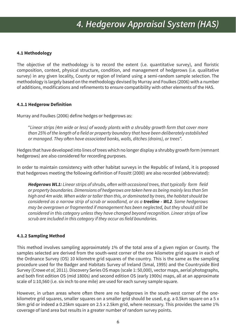#### 4.1 Methodology

The objective of the methodology is to record the extent (i.e. quantitative survey), and floristic composition, context, physical structure, condition, and management of hedgerows (i.e. qualitative survey) in any given locality, County or region of Ireland using a semi-random sample selection. The methodology is largely based on the methodology devised by Murray and Foulkes (2006) with a number of additions, modifications and refinements to ensure compatibility with other elements of the HAS.

#### 4.1.1 Hedgerow Definition

Murray and Foulkes (2006) define hedges or hedgerows as:

"Linear strips (4m wide or less) of woody plants with a shrubby growth form that cover more than 25% of the length of a field or property boundary that have been deliberately established or managed. They often have associated banks, walls, ditches (drains), or trees".

Hedges that have developed into lines of trees which no longer display a shrubby growth form (remnant hedgerows) are also considered for recording purposes.

In order to maintain consistency with other habitat surveys in the Republic of Ireland, it is proposed that hedgerows meeting the following definition of Fossitt (2000) are also recorded (abbreviated):

**Hedgerows WL1:** Linear strips of shrubs, often with occasional trees, that typically form field or property boundaries. Dimensions of hedgerows are taken here as being mainly less than 5m high and 4m wide. When wider or taller than this, or dominated by trees, the habitat should be considered as a narrow strip of scrub or woodland, or as a **treeline - WL2**. Some hedgerows may be overgrown or fragmented if management has been neglected, but they should still be considered in this category unless they have changed beyond recognition. Linear strips of low scrub are included in this category if they occur as field boundaries.

#### **4.1.2 Sampling Method**

This method involves sampling approximately 1% of the total area of a given region or County. The samples selected are derived from the south-west corner of the one kilometre grid square in each of the Ordnance Survey (OS) 10 kilometre grid squares of the country. This is the same as the sampling procedure used for the Badger and Habitats Survey of Ireland (Smal, 1995) and the Countryside Bird Survey (Crowe et al, 2011). Discovery Series OS maps (scale 1: 50,000), vector maps, aerial photographs, and both first edition OS (mid 1800s) and second edition OS (early 1900s) maps, all at an approximate scale of 1:10,560 (i.e. six inch to one mile) are used for each survey sample square.

However, in urban areas where often there are no hedgerows in the south-west corner of the onekilometre grid squares, smaller squares on a smaller grid should be used, e.g. a 0.5km square on a 5 x 5km grid or indeed a 0.25km square on 2.5 x 2.5km grid, where necessary. This provides the same 1% coverage of land area but results in a greater number of random survey points.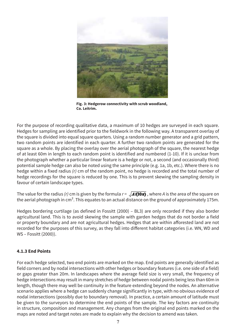

Fig. 3: Hedgerow connectivity with scrub woodland, Co. Leitrim.

For the purpose of recording qualitative data, a maximum of 10 hedges are surveved in each square. Hedges for sampling are identified prior to the fieldwork in the following way. A transparent overlay of the square is divided into equal square quarters. Using a random number generator and a grid pattern, two random points are identified in each quarter. A further two random points are generated for the square as a whole. By placing the overlay over the aerial photograph of the square, the nearest hedge of at least 60m in length to each random point is identified and numbered (1-10). If it is unclear from the photograph whether a particular linear feature is a hedge or not, a second (and occasionally third) potential sample hedge can also be noted using the same principle (e.g. 1a, 1b, etc.). Where there is no hedge within a fixed radius  $(r)$  cm of the random point, no hedge is recorded and the total number of hedge recordings for the square is reduced by one. This is to prevent skewing the sampling density in favour of certain landscape types.

The value for the radius (r) cm is given by the formula  $r = \sqrt{A/(10\pi)}$ , where A is the area of the square on the aerial photograph in cm<sup>2</sup>. This equates to an actual distance on the ground of approximately 175m.

Hedges bordering curtilage (as defined in Fossitt (2000) - BL3) are only recorded if they also border agricultural land. This is to avoid skewing the sample with garden hedges that do not border a field or property boundary and are not agricultural hedges. Hedges that are within afforested land are not recorded for the purposes of this survey, as they fall into different habitat categories (i.e. WN, WD and WS - Fossitt (2000)).

#### 4.1.3 End Points

For each hedge selected, two end points are marked on the map. End points are generally identified as field corners and by nodal intersections with other hedges or boundary features (i.e. one side of a field) or gaps greater than 20m. In landscapes where the average field size is very small, the frequency of hedge intersections may result in many stretches of hedge between nodal points being less than 60m in length, though there may well be continuity in the feature extending beyond the nodes. An alternative scenario applies where a hedge can suddenly change significantly in type, with no obvious evidence of nodal intersections (possibly due to boundary removal). In practice, a certain amount of latitude must be given to the surveyors to determine the end points of the sample. The key factors are continuity in structure, composition and management. Any changes from the original end points marked on the maps are noted and target notes are made to explain why the decision to amend was taken.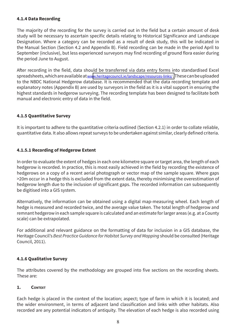#### 4.1.4 Data Recording

The majority of the recording for the survey is carried out in the field but a certain amount of desk study will be necessary to ascertain specific details relating to Historical Significance and Landscape Designation. Where a category can be recorded as a result of desk study, this will be indicated in the Manual Section (Section 4.2 and Appendix B). Field recording can be made in the period April to September (inclusive), but less experienced surveyors may find recording of ground flora easier during the period June to August.

After recording in the field, data should be transferred via data entry forms into standardised Excel spreadsheets, which are available at www.heritagecouncil.ie/landscape/resources-links/. These can be uploaded to the NBDC National Hedgerow database. It is recommended that the data recording template and explanatory notes (Appendix B) are used by surveyors in the field as it is a vital support in ensuring the highest standards in hedgerow surveying. The recording template has been designed to facilitate both manual and electronic entry of data in the field.

#### **4.1.5 Quantitative Survey**

It is important to adhere to the quantitative criteria outlined (Section 4.2.1) in order to collate reliable, quantitative data. It also allows repeat surveys to be undertaken against similar, clearly defined criteria.

#### 4.1.5.1 Recording of Hedgerow Extent

In order to evaluate the extent of hedges in each one kilometre square or target area, the length of each hedgerow is recorded. In practice, this is most easily achieved in the field by recording the existence of hedgerows on a copy of a recent aerial photograph or vector map of the sample square. Where gaps >20m occur in a hedge this is excluded from the extent data, thereby minimising the overestimation of hedgerow length due to the inclusion of significant gaps. The recorded information can subsequently be digitised into a GIS system.

Alternatively, the information can be obtained using a digital map-measuring wheel. Each length of hedge is measured and recorded twice, and the average value taken. The total length of hedgerow and remnant hedgerow in each sample square is calculated and an estimate for larger areas (e.g. at a County scale) can be extrapolated.

For additional and relevant guidance on the formatting of data for inclusion in a GIS database, the Heritage Council's Best Practice Guidance for Habitat Survey and Mapping should be consulted (Heritage Council, 2011).

#### **4.1.6 Qualitative Survey**

The attributes covered by the methodology are grouped into five sections on the recording sheets. These are:

#### $\mathbf{1}$ . **CONTEXT**

Each hedge is placed in the context of the location; aspect; type of farm in which it is located; and the wider environment, in terms of adjacent land classification and links with other habitats. Also recorded are any potential indicators of antiquity. The elevation of each hedge is also recorded using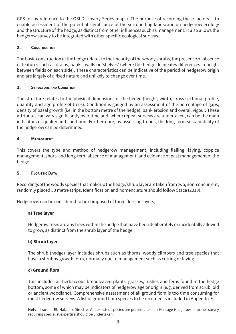GPS (or by reference to the OSI Discovery Series maps). The purpose of recording these factors is to enable assessment of the potential significance of the surrounding landscape on hedgerow ecology and the structure of the hedge, as distinct from other influences such as management. It also allows the hedgerow survey to be integrated with other specific ecological surveys.

#### $2.$ **CONSTRUCTION**

The basic construction of the hedge relates to the linearity of the woody shrubs, the presence or absence of features such as drains, banks, walls or 'shelves' (where the hedge delineates differences in height between fields on each side). These characteristics can be indicative of the period of hedgerow origin and are largely of a fixed nature and unlikely to change over time.

#### **STRUCTURE AND CONDITION**  $3.$

The structure relates to the physical dimensions of the hedge (height, width, cross sectional profile, quantity and age profile of trees). Condition is gauged by an assessment of the percentage of gaps, density of basal growth (i.e. in the bottom metre of the hedge), bank erosion and overall vigour. These attributes can vary significantly over time and, where repeat surveys are undertaken, can be the main indicators of quality and condition. Furthermore, by assessing trends, the long-term sustainability of the hedgerow can be determined.

#### $4.$ **MANAGEMENT**

This covers the type and method of hedgerow management, including flailing, laying, coppice management, short- and long-term absence of management, and evidence of past management of the hedge.

#### 5. **FLORISTIC DATA**

Recordings of the woody species that make up the hedge/shrub layer are taken from two, non-concurrent, randomly placed 30 metre strips. Identification and nomenclature should follow Stace (2010).

Hedgerows can be considered to be composed of three floristic layers;

### a) Tree layer

Hedgerow trees are any trees within the hedge that have been deliberately or incidentally allowed to grow, as distinct from the shrub layer of the hedge.

#### b) Shrub layer

The shrub (hedge) layer includes shrubs such as thorns, woody climbers and tree species that have a shrubby growth form, normally due to management such as cutting or laying.

#### c) Ground flora

This includes all herbaceous broadleaved plants, grasses, rushes and ferns found in the hedge bottom, some of which may be indicators of hedgerow age or origin (e.g. derived from scrub, old or ancient woodland). Comprehensive assessment of all ground flora is too time consuming for most hedgerow surveys. A list of ground flora species to be recorded is included in Appendix E.

Note: If rare or EU Habitats Directive Annex listed species are present, i.e. in a Heritage Hedgerow, a further survey requiring specialist expertise should be undertaken.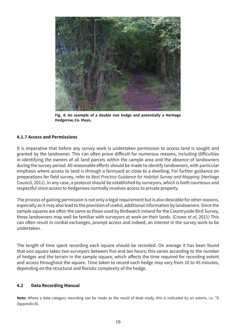

Fig. 4: An example of a double row hedge and potentially a Heritage Hedgerow, Co. Mayo.

#### **4.1.7 Access and Permissions**

It is imperative that before any survey work is undertaken permission to access land is sought and granted by the landowner. This can often prove difficult for numerous reasons, including difficulties in identifying the owners of all land parcels within the sample area and the absence of landowners during the survey period. All reasonable efforts should be made to identify landowners, with particular emphasis where access to land is through a farmyard or close to a dwelling. For further guidance on preparations for field survey, refer to Best Practice Guidance for Habitat Survey and Mapping (Heritage Council, 2011). In any case, a protocol should be established by surveyors, which is both courteous and respectful since access to hedgerows normally involves access to private property.

The process of gaining permission is not only a legal requirement but is also desirable for other reasons, especially as it may also lead to the provision of useful, additional information by landowners. Since the sample squares are often the same as those used by Birdwatch Ireland for the Countryside Bird Survey, these landowners may well be familiar with surveyors at work on their lands. (Crowe et al, 2011) This can often result in cordial exchanges, prompt access and indeed, an interest in the survey work to be undertaken.

The length of time spent recording each square should be recorded. On average it has been found that one square takes two surveyors between five and ten hours; this varies according to the number of hedges and the terrain in the sample square, which affects the time required for recording extent and access throughout the square. Time taken to record each hedge may vary from 10 to 45 minutes. depending on the structural and floristic complexity of the hedge.

#### $4.2$ **Data Recording Manual**

Note: Where a data category recording can be made as the result of desk study, this is indicated by an asterix, i.e. \*D (Appendix B).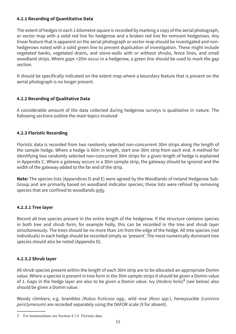#### **4.2.1 Recording of Quantitative Data**

The extent of hedges in each 1 kilometre square is recorded by marking a copy of the aerial photograph, or vector map with a solid red line for hedgerow and a broken red line for remnant hedgerows. Any linear feature that is apparent on the aerial photograph or vector map should be investigated and nonhedgerows noted with a solid green line to prevent duplication of investigation. These might include vegetated banks, vegetated drains, and stone-walls with or without shrubs, fence lines, and small woodland strips. Where gaps >20m occur in a hedgerow, a green line should be used to mark the gap section.

It should be specifically indicated on the extent map where a boundary feature that is present on the aerial photograph is no longer present.

#### **4.2.2 Recording of Qualitative Data**

A considerable amount of the data collected during hedgerow surveys is qualitative in nature. The following sections outline the main topics involved

#### **4.2.3 Floristic Recording**

Floristic data is recorded from two randomly selected non-concurrent 30m strips along the length of the sample hedge. Where a hedge is 60m in length, start one 30m strip from each end. A method for identifying two randomly selected non-concurrent 30m strips for a given length of hedge is explained in Appendix C. Where a gateway occurs in a 30m sample strip, the gateway should be ignored and the width of the gateway added to the far end of the strip.

**Note:** The species lists (Appendices D and E) were agreed by the Woodlands of Ireland Hedgerow Sub-Group and are primarily based on woodland indicator species; these lists were refined by removing species that are confined to woodlands only.

#### **4.2.3.1 Tree layer**

Record all tree species present in the entire length of the hedgerow. If the structure contains species in both tree and shrub form, for example holly, this can be recorded in the tree and shrub layer simultaneously. The trees should be no more than 1m from the edge of the hedge. All tree species (not individuals) in each hedge should be recorded simply as 'present'. The most numerically dominant tree species should also be noted (Appendix D).

#### **4.2.3.2 Shrub layer**

All shrub species present within the length of each 30m strip are to be allocated an appropriate Domin value. Where a species is present in tree form in the 30m sample strips it should be given a Domin value of 1. Gaps in the hedge layer are also to be given a Domin value. Ivy (Hedera helix)<sup>1</sup> (see below) also should be given a Domin value.

Woody climbers; e.g. brambles (Rubus fruticosa agg., wild rose (Rosa spp.), honeysuckle (Lonicera periclymenum) are recorded separately using the DAFOR scale (X for absent).

<sup>1</sup> For nomenclature see Section 4.1.6 Floristic data.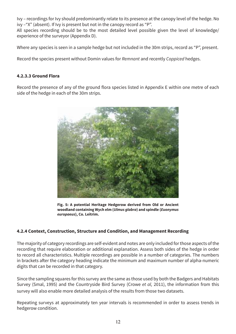Ivy - recordings for Ivy should predominantly relate to its presence at the canopy level of the hedge. No ivy -"X" (absent). If Ivy is present but not in the canopy record as "P".

All species recording should be to the most detailed level possible given the level of knowledge/ experience of the surveyor (Appendix D).

Where any species is seen in a sample hedge but not included in the 30m strips, record as "P", present.

Record the species present without Domin values for Remnant and recently Coppiced hedges.

#### 4.2.3.3 Ground Flora

Record the presence of any of the ground flora species listed in Appendix E within one metre of each side of the hedge in each of the 30m strips.



Fig. 5: A potential Heritage Hedgerow derived from Old or Ancient woodland containing Wych elm (Ulmus glabra) and spindle (Euonymus europaeus), Co. Leitrim.

#### 4.2.4 Context, Construction, Structure and Condition, and Management Recording

The majority of category recordings are self-evident and notes are only included for those aspects of the recording that require elaboration or additional explanation. Assess both sides of the hedge in order to record all characteristics. Multiple recordings are possible in a number of categories. The numbers in brackets after the category heading indicate the minimum and maximum number of alpha-numeric digits that can be recorded in that category.

Since the sampling squares for this survey are the same as those used by both the Badgers and Habitats Survey (Smal, 1995) and the Countryside Bird Survey (Crowe et al. 2011), the information from this survey will also enable more detailed analysis of the results from those two datasets.

Repeating surveys at approximately ten year intervals is recommended in order to assess trends in hedgerow condition.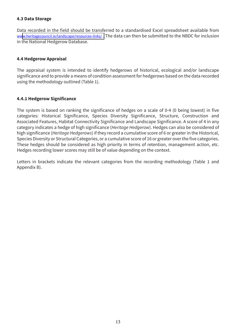#### 4.3 Data Storage

Data recorded in the field should be transferred to a standardised Excel spreadsheet available from www.heritagecouncil.ie/landscape/resources-links/. The data can then be submitted to the NBDC for inclusion in the National Hedgerow Database.

#### **4.4 Hedgerow Appraisal**

The appraisal system is intended to identify hedgerows of historical, ecological and/or landscape significance and to provide a means of condition assessment for hedgerows based on the data recorded using the methodology outlined (Table 1).

#### 4.4.1 Hedgerow Significance

The system is based on ranking the significance of hedges on a scale of 0-4 (0 being lowest) in five categories: Historical Significance, Species Diversity Significance, Structure, Construction and Associated Features, Habitat Connectivity Significance and Landscape Significance. A score of 4 in any category indicates a hedge of high significance (Heritage Hedgerow). Hedges can also be considered of high significance (Heritage Hedgerows) if they record a cumulative score of 6 or greater in the Historical, Species Diversity or Structural Categories, or a cumulative score of 16 or greater over the five categories. These hedges should be considered as high priority in terms of retention, management action, etc. Hedges recording lower scores may still be of value depending on the context.

Letters in brackets indicate the relevant categories from the recording methodology (Table 1 and Appendix B).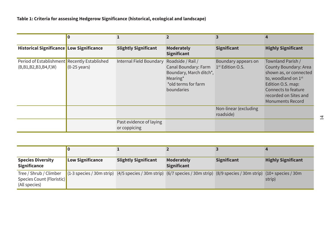| <b>Historical Significance Low Significance</b>                           |                        | <b>Slightly Significant</b>             | <b>Moderately</b><br><b>Significant</b>                                                                               | <b>Significant</b>                                  | <b>Highly Significant</b>                                                                                                                                                                               |
|---------------------------------------------------------------------------|------------------------|-----------------------------------------|-----------------------------------------------------------------------------------------------------------------------|-----------------------------------------------------|---------------------------------------------------------------------------------------------------------------------------------------------------------------------------------------------------------|
| Period of Establishment Recently Established<br>(B, B1, B2, B3, B4, F, W) | $(0-25 \text{ years})$ | Internal Field Boundary                 | Roadside / Rail /<br>Canal Boundary: Farm<br>Boundary, March ditch*,<br>Mearing*<br>*old terms for farm<br>boundaries | Boundary appears on<br>1 <sup>st</sup> Edition O.S. | Townland Parish /<br>County Boundary: Area<br>shown as, or connected<br>to, woodland on 1 <sup>st</sup><br>Edition O.S. map:<br>Connects to feature<br>recorded on Sites and<br><b>Monuments Record</b> |
|                                                                           |                        |                                         |                                                                                                                       | Non-linear (excluding<br>roadside)                  |                                                                                                                                                                                                         |
|                                                                           |                        | Past evidence of laying<br>or coppicing |                                                                                                                       |                                                     |                                                                                                                                                                                                         |

| <b>Species Diversity</b><br><b>Significance</b>                      | <b>Low Significance</b> | <b>Slightly Significant</b>                                                                                                          | <b>Moderately</b><br><b>Significant</b> | <b>Significant</b> | <b>Highly Significant</b> |
|----------------------------------------------------------------------|-------------------------|--------------------------------------------------------------------------------------------------------------------------------------|-----------------------------------------|--------------------|---------------------------|
| Tree / Shrub / Climber<br>Species Count (Floristic)<br>(All species) |                         | $(1-3$ species / 30m strip) $(4/5$ species / 30m strip) $(6/7$ species / 30m strip) $(8/9$ species / 30m strip) $(10+$ species / 30m |                                         |                    | strip)                    |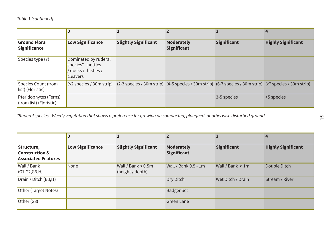|                                                  | $\boldsymbol{0}$                                                                                |                             | $\overline{2}$                          | 3                                                                                                                                      | 4                         |
|--------------------------------------------------|-------------------------------------------------------------------------------------------------|-----------------------------|-----------------------------------------|----------------------------------------------------------------------------------------------------------------------------------------|---------------------------|
| <b>Ground Flora</b><br><b>Significance</b>       | <b>Low Significance</b>                                                                         | <b>Slightly Significant</b> | <b>Moderately</b><br><b>Significant</b> | <b>Significant</b>                                                                                                                     | <b>Highly Significant</b> |
| Species type (Y)                                 | Dominated by ruderal<br>species <sup>*</sup> - nettles<br>docks / thistles /<br><b>cleavers</b> |                             |                                         |                                                                                                                                        |                           |
| <b>Species Count (from</b><br>list) (Floristic)  |                                                                                                 |                             |                                         | $\vert$ <2 species / 30m strip) (2-3 species / 30m strip) (4-5 species / 30m strip) (6-7 species / 30m strip) (>7 species / 30m strip) |                           |
| Pteridophytes (Ferns)<br>(from list) (Floristic) |                                                                                                 |                             |                                         | 3-5 species                                                                                                                            | >5 species                |

\*Ruderal species - Weedy vegetation that shows a preference for growing on compacted, ploughed, or otherwise disturbed ground.

|                                                                       | 10                      |                                           |                                         |                    | 4                         |
|-----------------------------------------------------------------------|-------------------------|-------------------------------------------|-----------------------------------------|--------------------|---------------------------|
| Structure,<br><b>Construction &amp;</b><br><b>Associated Features</b> | <b>Low Significance</b> | <b>Slightly Significant</b>               | <b>Moderately</b><br><b>Significant</b> | <b>Significant</b> | <b>Highly Significant</b> |
| Wall / Bank<br>(G1, G2, G3, H)                                        | None                    | Wall / Bank $< 0.5$ m<br>(height / depth) | Wall / Bank 0.5 - 1m                    | Wall / Bank $> 1m$ | Double Ditch              |
| Drain / Ditch (B,I,I1)                                                |                         |                                           | Dry Ditch                               | Wet Ditch / Drain  | Stream / River            |
| Other (Target Notes)                                                  |                         |                                           | <b>Badger Set</b>                       |                    |                           |
| Other (G3)                                                            |                         |                                           | Green Lane                              |                    |                           |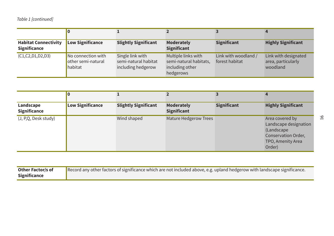| <b>Habitat Connectivity</b><br><b>Significance</b> | <b>Low Significance</b>                             | <b>Slightly Significant</b>                                    | <b>Moderately</b><br><b>Significant</b>                                       | <b>Significant</b>                     | <b>Highly Significant</b>                              |
|----------------------------------------------------|-----------------------------------------------------|----------------------------------------------------------------|-------------------------------------------------------------------------------|----------------------------------------|--------------------------------------------------------|
| (C1, C2, D1, D2, D3)                               | No connection with<br>other semi-natural<br>habitat | Single link with<br>semi-natural habitat<br>including hedgerow | Multiple links with<br>semi-natural habitats,<br>including other<br>hedgerows | Link with woodland /<br>forest habitat | Link with designated<br>area, particularly<br>woodland |

| Landscape<br><b>Significance</b> | <b>Low Significance</b> | <b>Slightly Significant</b> | <b>Moderately</b><br><b>Significant</b> | <b>Significant</b> | <b>Highly Significant</b>                                                                                    |
|----------------------------------|-------------------------|-----------------------------|-----------------------------------------|--------------------|--------------------------------------------------------------------------------------------------------------|
| (J, P,Q, Desk study)             |                         | Wind shaped                 | <b>Mature Hedgerow Trees</b>            |                    | Area covered by<br>Landscape designation<br>(Landscape<br>Conservation Order,<br>TPO, Amenity Area<br>Order) |

| Other Factor/s of   | Record any other factors of significance which are not included above, e.g. upland hedgerow with landscape significance. |
|---------------------|--------------------------------------------------------------------------------------------------------------------------|
| <b>Significance</b> |                                                                                                                          |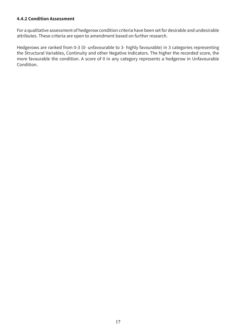#### **4.4.2 Condition Assessment**

For a qualitative assessment of hedgerow condition criteria have been set for desirable and undesirable attributes. These criteria are open to amendment based on further research.

Hedgerows are ranked from 0-3 (0- unfavourable to 3- highly favourable) in 3 categories representing the Structural Variables, Continuity and other Negative Indicators. The higher the recorded score, the more favourable the condition. A score of 0 in any category represents a hedgerow in Unfavourable Condition.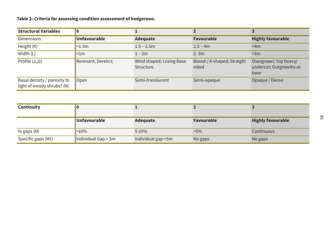Table 2: Criteria for assessing condition assessment of hedgerows.

| <b>Structural Variables</b>                               | $\bf{0}$            |                                       |                                     |                                                          |
|-----------------------------------------------------------|---------------------|---------------------------------------|-------------------------------------|----------------------------------------------------------|
| <b>Dimensions</b>                                         | <b>Unfavourable</b> | Adequate                              | <b>Favourable</b>                   | <b>Highly favourable</b>                                 |
| Height (K)                                                | $1.5m$              | $1.5 - 2.5m$                          | $2.5 - 4m$                          | >4m                                                      |
| Width (L)                                                 | $\leq 1m$           | $1 - 2m$                              | $2 - 3m$                            | >3m                                                      |
| Profile (J,J1)                                            | Remnant; Derelict;  | Wind shaped; Losing Base<br>Structure | Boxed / A-shaped; Straight<br>sided | Overgrown; Top heavy/<br>undercut; Outgrowths at<br>base |
| Basal density / porosity to<br>light of woody shrubs? (N) | Open                | Semi-translucent                      | Semi-opaque                         | Opaque / Dense                                           |

| <b>Continuity</b>  |                       |                    |                   |                          |
|--------------------|-----------------------|--------------------|-------------------|--------------------------|
|                    | <b>Unfavourable</b>   | Adequate           | <b>Favourable</b> | <b>Highly favourable</b> |
| % gaps (M)         | >10%                  | $5 - 10%$          | $< 5\%$           | Continuous               |
| Specific gaps (M1) | Individual Gap $>$ 5m | Individual gap <5m | No gaps           | No gaps                  |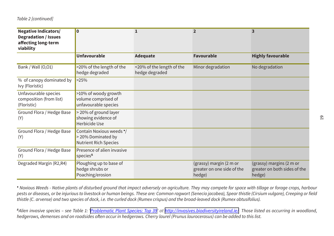| <b>Negative Indicators/</b><br><b>Degradation / Issues</b><br>affecting long-term<br>viability | $\overline{\mathbf{0}}$                                                        | 1                                           | $\overline{2}$                                                  | $\overline{\mathbf{3}}$                                            |
|------------------------------------------------------------------------------------------------|--------------------------------------------------------------------------------|---------------------------------------------|-----------------------------------------------------------------|--------------------------------------------------------------------|
|                                                                                                | <b>Unfavourable</b>                                                            | <b>Adequate</b>                             | <b>Favourable</b>                                               | <b>Highly favourable</b>                                           |
| Bank / Wall (0,01)                                                                             | >20% of the length of the<br>hedge degraded                                    | <20% of the length of the<br>hedge degraded | Minor degradation                                               | No degradation                                                     |
| % of canopy dominated by<br>Ivy (Floristic)                                                    | >25%                                                                           |                                             |                                                                 |                                                                    |
| Unfavourable species<br>composition (from list)<br>(Floristic)                                 | >10% of woody growth<br>volume comprised of<br>unfavourable species            |                                             |                                                                 |                                                                    |
| Ground Flora / Hedge Base<br>(Y)                                                               | > 20% of ground layer<br>showing evidence of<br>Herbicide Use                  |                                             |                                                                 |                                                                    |
| Ground Flora / Hedge Base<br>(Y)                                                               | Contain Noxious weeds '/<br>> 20% Dominated by<br><b>Nutrient Rich Species</b> |                                             |                                                                 |                                                                    |
| Ground Flora / Hedge Base<br>(Y)                                                               | Presence of alien invasive<br>species <sup>®</sup>                             |                                             |                                                                 |                                                                    |
| Degraded Margin (R2,R4)                                                                        | Ploughing up to base of<br>hedge shrubs or<br>Poaching/erosion                 |                                             | (grassy) margin (2 m or<br>greater on one side of the<br>hedge) | (grassy) margins (2 m or<br>greater on both sides of the<br>hedge) |

• Noxious Weeds - Native plants of disturbed ground that impact adversely on agriculture. They may compete for space with tillage or forage crops, harbour pests or diseases, or be injurious to livestock or human beings. These are: Common ragwort (Senecio jacobea), Spear thistle (Cirsium vulgare), Creeping or field thistle (C. arvense) and two species of dock, i.e. the curled dock (Rumex crispus) and the broad-leaved dock (Rumex obtusifolius).

<sup>B</sup>Alien invasive species - see Table 1: 'Problematic Plant Species: Top 39' at http://invasives.biodiversityireland.ie/ Those listed as occurring in woodland, hedgerows, demenses and on roadsides often occur in hedgerows. Cherry laurel (Prunus laurocerasus) can be added to this list.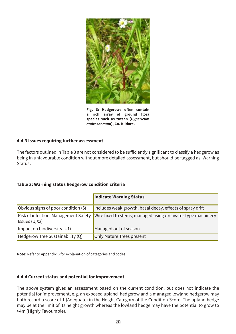

Fig. 6: Hedgerows often contain a rich array of ground flora species such as tutsan (Hypericum androsaemum), Co. Kildare.

#### 4.4.3 Issues requiring further assessment

The factors outlined in Table 3 are not considered to be sufficiently significant to classify a hedgerow as being in unfavourable condition without more detailed assessment, but should be flagged as 'Warning Status'

#### Table 3: Warning status hedgerow condition criteria

|                                                       | <b>Indicate Warning Status</b>                              |
|-------------------------------------------------------|-------------------------------------------------------------|
| Obvious signs of poor condition (S)                   | Includes weak growth, basal decay, effects of spray drift   |
| Risk of infection; Management Safety<br>Issues (U,X3) | Wire fixed to stems; managed using excavator type machinery |
| Impact on biodiversity (U1)                           | Managed out of season                                       |
| Hedgerow Tree Sustainability (Q)                      | Only Mature Trees present                                   |

Note: Refer to Appendix B for explanation of categories and codes.

#### 4.4.4 Current status and potential for improvement

The above system gives an assessment based on the current condition, but does not indicate the potential for improvement, e.g. an exposed upland hedgerow and a managed lowland hedgerow may both record a score of 1 (Adequate) in the Height Category of the Condition Score. The upland hedge may be at the limit of its height growth whereas the lowland hedge may have the potential to grow to >4m (Highly Favourable).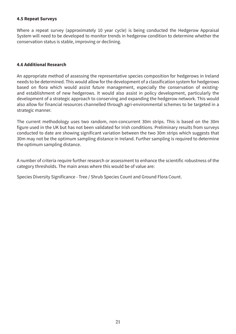#### **4.5 Repeat Surveys**

Where a repeat survey (approximately 10 year cycle) is being conducted the Hedgerow Appraisal System will need to be developed to monitor trends in hedgerow condition to determine whether the conservation status is stable, improving or declining.

#### **4.6 Additional Research**

An appropriate method of assessing the representative species composition for hedgerows in Ireland needs to be determined. This would allow for the development of a classification system for hedgerows based on flora which would assist future management, especially the conservation of existingand establishment of new hedgerows. It would also assist in policy development, particularly the development of a strategic approach to conserving and expanding the hedgerow network. This would also allow for financial resources channelled through agri-environmental schemes to be targeted in a strategic manner.

The current methodology uses two random, non-concurrent 30m strips. This is based on the 30m figure used in the UK but has not been validated for Irish conditions. Preliminary results from surveys conducted to date are showing significant variation between the two 30m strips which suggests that 30m may not be the optimum sampling distance in Ireland. Further sampling is required to determine the optimum sampling distance.

A number of criteria require further research or assessment to enhance the scientific robustness of the category thresholds. The main areas where this would be of value are:

Species Diversity Significance - Tree / Shrub Species Count and Ground Flora Count.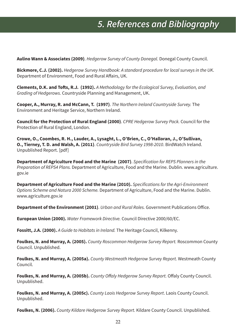## **5. References and Bibliography**

**Aulino Wann & Associates (2009).** Hedgerow Survey of County Donegal. Donegal County Council.

Bickmore, C.J. (2002). *Hedgerow Survey Handbook: A standard procedure for local surveys in the UK.* Department of Environment, Food and Rural Affairs, UK.

**Clements, D.K. and Tofts, R.J. (1992).** A Methodology for the Ecological Survey, Evaluation, and Grading of Hedgerows. Countryside Planning and Management, UK.

**Cooper, A., Murray, R. and McCann, T. (1997)**. The Northern Ireland Countryside Survey. The Environment and Heritage Service, Northern Ireland.

**Council for the Protection of Rural England (2000).** *CPRE Hedgerow Survey Pack.* Council for the Protection of Rural England, London.

**Crowe, O., Coombes, R. H., Lauder, A., Lysaght, L., O'Brien, C., O'Halloran, J., O'Sullivan, O., Tierney, T. D. and Walsh, A. (2011)**. *Countryside Bird Survey 1998-2010*. BirdWatch Ireland. Unpublished Report. [pdf]

**Department of Agriculture Food and the Marine (2007)**. *Specification for REPS Planners in the* Preparation of REPS4 Plans. Department of Agriculture, Food and the Marine. Dublin. www.agriculture. gov.ie

**Department of Agriculture Food and the Marine (2010).** *Specifications for the Agri-Environment* Options Scheme and Natura 2000 Scheme. Department of Agriculture, Food and the Marine. Dublin. www.agriculture.gov.ie

Department of the Environment (2001). Urban and Rural Roles. Government Publications Office.

**European Union (2000).** *Water Framework Directive.* Council Directive 2000/60/EC.

**Fossitt, J.A. (2000).** A Guide to Habitats in Ireland. The Heritage Council, Kilkenny.

**Foulkes, N. and Murray, A. (2005).** County Roscommon Hedgerow Survey Report. Roscommon County Council. Unpublished.

**Foulkes, N. and Murray, A. (2005a).** *County Westmeath Hedgerow Survey Report.* Westmeath County Council.

**Foulkes, N. and Murray, A. (2005b).** *County Offaly Hedgerow Survey Report. Offaly County Council.* Unpublished.

Foulkes, N. and Murray, A. (2005c). *County Laois Hedgerow Survey Report*. Laois County Council. Unpublished.

**Foulkes, N. (2006).** *County Kildare Hedgerow Survey Report.* Kildare County Council. Unpublished.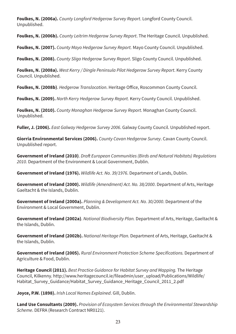Foulkes, N. (2006a). County Longford Hedgerow Survey Report. Longford County Council. Unpublished.

**Foulkes, N. (2006b).** County Leitrim Hedgerow Survey Report. The Heritage Council. Unpublished.

**Foulkes, N. (2007).** *County Mayo Hedgerow Survey Report.* Mayo County Council. Unpublished.

**Foulkes, N. (2008).** *County Sligo Hedgerow Survey Report.* Sligo County Council. Unpublished.

Foulkes, N. (2008a). West Kerry / Dingle Peninsula Pilot Hedgerow Survey Report. Kerry County Council. Unpublished.

**Foulkes, N. (2008b)**. *Hedgerow Translocation*. Heritage Office, Roscommon County Council.

**Foulkes, N. (2009).** *North Kerry Hedgerow Survey Report. Kerry County Council. Unpublished.* 

**Foulkes, N. (2010).** County Monaghan Hedgerow Survey Report. Monaghan County Council. Unpublished.

**Fuller, J. (2006).** East Galway Hedgerow Survey 2006. Galway County Council. Unpublished report.

Giorria Environmental Services (2006). County Cavan Hedgerow Survey. Cavan County Council. Unpublished report.

**Government of Ireland (2010)**. *Draft European Communities (Birds and Natural Habitats) Regulations* 2010. Department of the Environment & Local Government, Dublin.

**Government of Ireland (1976).** *Wildlife Act. No. 39/1976*. Department of Lands. Dublin.

**Government of Ireland (2000).** *Wildlife (Amendment) Act. No. 38/2000.* Department of Arts, Heritage Gaeltacht & the Islands, Dublin.

**Government of Ireland (2000a).** *Planning & Development Act. No. 30/2000.* Department of the Environment & Local Government, Dublin.

Government of Ireland (2002a). National Biodiversity Plan. Department of Arts, Heritage, Gaeltacht & the Islands, Dublin.

Government of Ireland (2002b). National Heritage Plan. Department of Arts, Heritage, Gaeltacht & the Islands, Dublin.

**Government of Ireland (2005).** Rural Environment Protection Scheme Specifications. Department of Agriculture & Food, Dublin.

**Heritage Council (2011).** Best Practice Guidance for Habitat Survey and Mapping. The Heritage Council, Kilkenny, http://www.heritagecouncil.ie/fileadmin/user\_upload/Publications/Wildlife/ Habitat\_Survey\_Guidance/Habitat\_Survey\_Guidance\_Heritage\_Council\_2011\_2.pdf

**Joyce, P.W. (1898).** Irish Local Names Explained. Gill, Dublin.

**Land Use Consultants (2009).** Provision of Ecosystem Services through the Environmental Stewardship Scheme. DEFRA (Research Contract NR0121).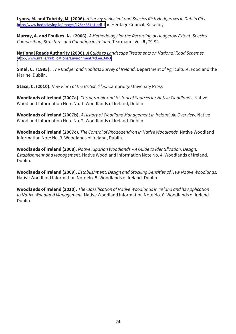**Lyons, M. and Tubridy, M. (2006).** A Survey of Ancient and Species Rich Hedgerows in Dublin City. http://www.hedgelaying.ie/images/1254465141.pdf The Heritage Council, Kilkenny.

**Murray, A. and Foulkes, N. (2006).** A Methodology for the Recording of Hedgerow Extent, Species Composition, Structure, and Condition in Ireland. Tearmann, Vol. 5, 79-94.

**National Roads Authority (2006).** A Guide to Landscape Treatments on National Road Schemes. http://www.nra.ie/Publications/Environment/#d.en.3463

**Smal, C. (1995).** The Badger and Habitats Survey of Ireland. Department of Agriculture, Food and the Marine. Dublin.

**Stace, C. (2010).** New Flora of the British Isles. Cambridge University Press

**Woodlands of Ireland (2007a).** Cartographic and Historical Sources for Native Woodlands. Native Woodland Information Note No. 1. Woodlands of Ireland, Dublin.

**Woodlands of Ireland (2007b).** A History of Woodland Management in Ireland: An Overview. Native Woodland Information Note No. 2. Woodlands of Ireland, Dublin.

Woodlands of Ireland (2007c). The Control of Rhododendron in Native Woodlands. Native Woodland Information Note No. 3. Woodlands of Ireland, Dublin.

**Woodlands of Ireland (2008)**. *Native Riparian Woodlands - A Guide to Identification, Design,* Establishment and Management. Native Woodland Information Note No. 4. Woodlands of Ireland. Dublin.

**Woodlands of Ireland (2009).** *Establishment, Design and Stocking Densities of New Native Woodlands.* Native Woodland Information Note No. 5. Woodlands of Ireland, Dublin,

**Woodlands of Ireland (2010).** The Classification of Native Woodlands in Ireland and its Application to Native Woodland Management. Native Woodland Information Note No. 6. Woodlands of Ireland. Dublin.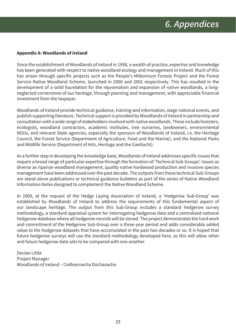#### **Appendix A: Woodlands of Ireland**

Since the establishment of Woodlands of Ireland in 1998, a wealth of practice, expertise and knowledge has been generated with respect to native woodland ecology and management in Ireland. Much of this has arisen through specific projects such as the People's Millennium Forests Project and the Forest Service Native Woodland Scheme, launched in 2000 and 2001 respectively. This has resulted in the development of a solid foundation for the rejuvenation and expansion of native woodlands, a longneglected cornerstone of our heritage, through planning and management, with appreciable financial investment from the taxpayer.

Woodlands of Ireland provide technical guidance, training and information, stage national events, and publish supporting literature. Technical support is provided by Woodlands of Ireland in partnership and consultation with a wide range of stakeholders involved with native woodlands. These include foresters, ecologists, woodland contractors, academic institutes, tree nurseries, landowners, environmental NGOs, and relevant State agencies, especially the sponsors of Woodlands of Ireland, i.e. the Heritage Council, the Forest Service (Department of Agriculture, Food and the Marine), and the National Parks and Wildlife Service (Department of Arts, Heritage and the Gaeltacht).

As a further step in developing the knowledge base, Woodlands of Ireland addresses specific issues that require a broad range of particular expertise through the formation of 'Technical Sub-Groups'. Issues as diverse as riparian woodland management, quality native hardwood production and invasive species management have been addressed over the past decade. The outputs from these technical Sub-Groups are stand-alone publications or technical guidance bulletins as part of the series of Native Woodland Information Notes designed to complement the Native Woodland Scheme.

In 2009, at the request of the Hedge Laying Association of Ireland, a 'Hedgerow Sub-Group' was established by Woodlands of Ireland to address the requirements of this fundamental aspect of our landscape heritage. The output from this Sub-Group includes a standard hedgerow survey methodology, a standard appraisal system for interrogating hedgerow data and a centralised national hedgerow database where all hedgerow records will be stored. The project demonstrates the hard work and commitment of the Hedgerow Sub-Group over a three-year period and adds considerable added value to the hedgerow datasets that have accumulated in the past two decades or so. It is hoped that future hedgerow surveys will use the standard methodology developed here, as this will allow other and future hedgerow data sets to be compared with one another.

Declan Little **Project Manager** Woodlands of Ireland - Coillearnacha Dúchasacha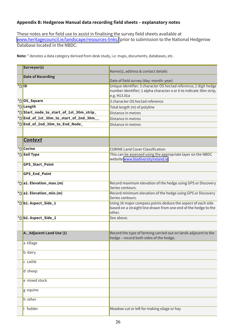#### Appendix B: Hedgerow Manual data recording field sheets - explanatory notes

These notes are for field use to assist in finalising the survey field sheets available at www.heritagecouncil.ie/landscape/resources-links/ prior to submission to the National Hedgerow Database located in the NBDC.

|                         | Surveyor(s)                             |                                                                                                                                                         |
|-------------------------|-----------------------------------------|---------------------------------------------------------------------------------------------------------------------------------------------------------|
|                         |                                         | Name(s), address & contact details                                                                                                                      |
|                         | <b>Date of Recording</b>                | Date of field survey (day: month: year)                                                                                                                 |
| $\sqrt{\frac{1}{D}}$ ID |                                         | Unique identifier: 3 character OS hectad reference; 2 digit hedge<br>number identifier; 1 alpha character a or b to indicate 30m strip,<br>e.g. H13.01a |
|                         | *DOS_Square                             | 3 character OS hectad reference                                                                                                                         |
|                         | *D Length                               | Total length (m) of polyline                                                                                                                            |
|                         | *DStart_node_to_start_of_1st_30m_strip_ | Distance in metres                                                                                                                                      |
|                         | *DEnd_of_1st_30m_to_start_of_2nd_30m__  | Distance in metres                                                                                                                                      |
|                         | *DEnd_of_2nd_30m_to_End_Node_           | Distance in metres                                                                                                                                      |
|                         |                                         |                                                                                                                                                         |
|                         | <b>Context</b>                          |                                                                                                                                                         |
|                         | *D Corine                               | <b>CORINE Land Cover Classification</b>                                                                                                                 |
|                         | *D Soil Type                            | This can be assessed using the appropriate layer on the NBDC<br>website www.biodiversityireland.ie                                                      |
|                         | <b>GPS Start Point</b>                  |                                                                                                                                                         |
|                         | <b>GPS_End_Point</b>                    |                                                                                                                                                         |
|                         | $\star$ D a1. Elevation_max.(m)         | Record maximum elevation of the hedge using GPS or Discovery<br>Series contours.                                                                        |
|                         | *Da2. Elevation_min.(m)                 | Record minimum elevation of the hedge using GPS or Discovery<br>Series contours.                                                                        |
|                         | *Db1. Aspect_Side_1                     | Using 16 major compass points deduce the aspect of each side<br>based on a straight line drawn from one end of the hedge to the<br>other.               |
|                         | *Db2. Aspect_Side_2                     | See above.                                                                                                                                              |
|                         |                                         |                                                                                                                                                         |
|                         | A. Adjacent Land Use (1)                | Record the type of farming carried out on lands adjacent to the<br>hedge - record both sides of the hedge.                                              |
|                         | a tillage                               |                                                                                                                                                         |
|                         | <b>b</b> dairy                          |                                                                                                                                                         |
|                         | c cattle                                |                                                                                                                                                         |
|                         | d sheep                                 |                                                                                                                                                         |
|                         | e mixed stock                           |                                                                                                                                                         |
|                         | g equine                                |                                                                                                                                                         |
|                         | h other                                 |                                                                                                                                                         |
|                         | fodder                                  | Meadow cut or left for making silage or hay                                                                                                             |

Note: \* denotes a data category derived from desk study, i.e. maps, documents, databases, etc.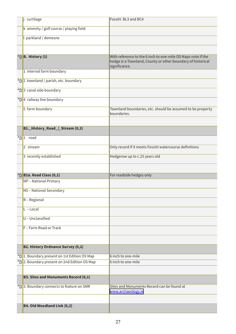| curtilage                                    | Fossitt BL3 and BC4                                                          |
|----------------------------------------------|------------------------------------------------------------------------------|
| k amenity / golf course / playing field      |                                                                              |
| parkland / demesne                           |                                                                              |
|                                              |                                                                              |
| *DB. History (1)                             | With reference to the 6 inch to one-mile OS Maps note if the                 |
|                                              | hedge is a Townland, County or other boundary of historical<br>significance. |
| 1 internal farm boundary                     |                                                                              |
| *D 2 townland / parish, etc. boundary        |                                                                              |
| *D 3 canal side boundary                     |                                                                              |
| *D 4 railway line boundary                   |                                                                              |
| 5 farm boundary                              | Townland boundaries, etc. should be assumed to be property<br>boundaries.    |
|                                              |                                                                              |
| B1._History_Road_/_Stream (0,3)              |                                                                              |
| *D1 road                                     |                                                                              |
| 2 stream                                     | Only record if it meets Fossitt watercourse definitions                      |
| 3 recently established                       | Hedgerow up to c.25 years old                                                |
|                                              |                                                                              |
| *D B1a. Road Class (0,1)                     | For roadside hedges only                                                     |
| <b>NP</b> - National Primary                 |                                                                              |
| NS-National Secondary                        |                                                                              |
| R - Regional                                 |                                                                              |
| $L - Local$                                  |                                                                              |
| U - Unclassified                             |                                                                              |
| F - Farm Road or Track                       |                                                                              |
|                                              |                                                                              |
| <b>B2. History Ordnance Survey (0,2)</b>     |                                                                              |
| *D 1. Boundary present on 1st Edition OS Map | 6 inch to one-mile                                                           |
| *D 2. Boundary present on 2nd Edition OS Map | 6 inch to one-mile                                                           |
|                                              |                                                                              |
| <b>B3. Sites and Monuments Record (0,1)</b>  |                                                                              |
| *D 3. Boundary connects to feature on SMR    | Sites and Monuments Record can be found at<br>www.archaeology.ie             |
|                                              |                                                                              |
| B4. Old Woodland Link (0,2)                  |                                                                              |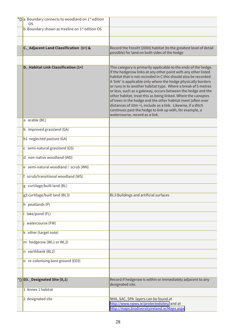| *Da Boundary connects to woodland on 1 <sup>st</sup> edition<br><b>OS</b> |                                                                                                                                                                                                                                                                                                                                                                                                                                                                                                                                                                                                                                                                                                        |
|---------------------------------------------------------------------------|--------------------------------------------------------------------------------------------------------------------------------------------------------------------------------------------------------------------------------------------------------------------------------------------------------------------------------------------------------------------------------------------------------------------------------------------------------------------------------------------------------------------------------------------------------------------------------------------------------------------------------------------------------------------------------------------------------|
| b Boundary shown as treeline on 1 <sup>st</sup> edition OS                |                                                                                                                                                                                                                                                                                                                                                                                                                                                                                                                                                                                                                                                                                                        |
|                                                                           |                                                                                                                                                                                                                                                                                                                                                                                                                                                                                                                                                                                                                                                                                                        |
| C._Adjacent Land Classification (1+) &                                    | Record the Fossitt (2000) habitat (to the greatest level of detail<br>possible) for land on both sides of the hedge                                                                                                                                                                                                                                                                                                                                                                                                                                                                                                                                                                                    |
|                                                                           |                                                                                                                                                                                                                                                                                                                                                                                                                                                                                                                                                                                                                                                                                                        |
| D. Habitat Link Classification (1+)                                       | This category is primarily applicable to the ends of the hedge.<br>If the hedgerow links at any other point with any other listed<br>habitat that is not recorded in C this should also be recorded.<br>A 'link' is applicable only where the hedge physically borders<br>or runs in to another habitat type. Where a break of 5 metres<br>or less, such as a gateway, occurs between the hedge and the<br>other habitat, treat this as being linked. Where the canopies<br>of trees in the hedge and the other habitat meet (often over<br>distances of 10m +), include as a link. Likewise, if a ditch<br>continues past the hedge to link up with, for example, a<br>watercourse, record as a link. |
| a arable (BC)                                                             |                                                                                                                                                                                                                                                                                                                                                                                                                                                                                                                                                                                                                                                                                                        |
| b improved grassland (GA)                                                 |                                                                                                                                                                                                                                                                                                                                                                                                                                                                                                                                                                                                                                                                                                        |
| b1 neglected pasture (GA)                                                 |                                                                                                                                                                                                                                                                                                                                                                                                                                                                                                                                                                                                                                                                                                        |
| c semi-natural grassland (GS)                                             |                                                                                                                                                                                                                                                                                                                                                                                                                                                                                                                                                                                                                                                                                                        |
| d non-native woodland (WD)                                                |                                                                                                                                                                                                                                                                                                                                                                                                                                                                                                                                                                                                                                                                                                        |
| e semi-natural woodland / scrub (WN)                                      |                                                                                                                                                                                                                                                                                                                                                                                                                                                                                                                                                                                                                                                                                                        |
| f scrub/transitional woodland (WS)                                        |                                                                                                                                                                                                                                                                                                                                                                                                                                                                                                                                                                                                                                                                                                        |
| g curtilage/built land (BL)                                               |                                                                                                                                                                                                                                                                                                                                                                                                                                                                                                                                                                                                                                                                                                        |
| g3 curtilage/built land (BL3)                                             | BL3 Buildings and artificial surfaces                                                                                                                                                                                                                                                                                                                                                                                                                                                                                                                                                                                                                                                                  |
| h peatlands (P)                                                           |                                                                                                                                                                                                                                                                                                                                                                                                                                                                                                                                                                                                                                                                                                        |
| lake/pond (FL)                                                            |                                                                                                                                                                                                                                                                                                                                                                                                                                                                                                                                                                                                                                                                                                        |
| watercourse (FW)                                                          |                                                                                                                                                                                                                                                                                                                                                                                                                                                                                                                                                                                                                                                                                                        |
| k other (target note)                                                     |                                                                                                                                                                                                                                                                                                                                                                                                                                                                                                                                                                                                                                                                                                        |
| m hedgerow (WL1 or WL2)                                                   |                                                                                                                                                                                                                                                                                                                                                                                                                                                                                                                                                                                                                                                                                                        |
| n earthbank (BL2)                                                         |                                                                                                                                                                                                                                                                                                                                                                                                                                                                                                                                                                                                                                                                                                        |
| o re-colonising bare ground (ED3)                                         |                                                                                                                                                                                                                                                                                                                                                                                                                                                                                                                                                                                                                                                                                                        |
|                                                                           |                                                                                                                                                                                                                                                                                                                                                                                                                                                                                                                                                                                                                                                                                                        |
| *D D3._Designated Site (0,1)                                              | Record if hedgerow is within or immediately adjacent to any<br>designated site.                                                                                                                                                                                                                                                                                                                                                                                                                                                                                                                                                                                                                        |
| 1 Annex 1 habitat                                                         |                                                                                                                                                                                                                                                                                                                                                                                                                                                                                                                                                                                                                                                                                                        |
| 2 designated site                                                         | NHA, SAC, SPA layers can be found at<br>http://www.npws.ie/protectedsites/ and at<br>http://maps.biodiversityireland.ie/Maps.aspx                                                                                                                                                                                                                                                                                                                                                                                                                                                                                                                                                                      |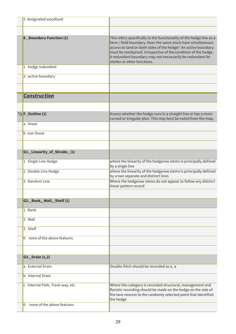| 3 designated woodland            |                                                                                                                                                                                                                                                                                                                                                                      |
|----------------------------------|----------------------------------------------------------------------------------------------------------------------------------------------------------------------------------------------------------------------------------------------------------------------------------------------------------------------------------------------------------------------|
|                                  |                                                                                                                                                                                                                                                                                                                                                                      |
| <b>E.</b> Boundary Function (1)  | This refers specifically to the functionality of the hedge line as a<br>farm / field boundary. Does the same stock have simultaneous<br>access to land on both sides of the hedge? An active boundary<br>must be stockproof, irrespective of the condition of the hedge.<br>A redundant boundary may not necessarily be redundant for<br>shelter or other functions. |
| 1 hedge redundant                |                                                                                                                                                                                                                                                                                                                                                                      |
| 2 active boundary                |                                                                                                                                                                                                                                                                                                                                                                      |
| <b>Construction</b>              |                                                                                                                                                                                                                                                                                                                                                                      |
|                                  |                                                                                                                                                                                                                                                                                                                                                                      |
| *DF._Outline (1)                 | Assess whether the hedge runs in a straight line or has a more<br>curved or irregular plan. This may best be noted from the map.                                                                                                                                                                                                                                     |
| a linear                         |                                                                                                                                                                                                                                                                                                                                                                      |
| b non-linear                     |                                                                                                                                                                                                                                                                                                                                                                      |
|                                  |                                                                                                                                                                                                                                                                                                                                                                      |
| G1._Linearity_of_Shrubs_(1)      |                                                                                                                                                                                                                                                                                                                                                                      |
| 1 Single Line Hedge              | where the linearity of the hedgerow stems is principally defined<br>by a single line                                                                                                                                                                                                                                                                                 |
| 2 Double Line Hedge              | where the linearity of the hedgerow stems is principally defined<br>by a two separate and distinct lines                                                                                                                                                                                                                                                             |
| 3 Random Line                    | Where the hedgerow stems do not appear to follow any distinct<br>linear pattern record                                                                                                                                                                                                                                                                               |
|                                  |                                                                                                                                                                                                                                                                                                                                                                      |
| G2._Bank,_Wall,_Shelf(1)         |                                                                                                                                                                                                                                                                                                                                                                      |
| 1 Bank                           |                                                                                                                                                                                                                                                                                                                                                                      |
| 2 Wall                           |                                                                                                                                                                                                                                                                                                                                                                      |
| 3 Shelf                          |                                                                                                                                                                                                                                                                                                                                                                      |
| none of the above features<br>0  |                                                                                                                                                                                                                                                                                                                                                                      |
|                                  |                                                                                                                                                                                                                                                                                                                                                                      |
| G3._Drain (1,2)                  |                                                                                                                                                                                                                                                                                                                                                                      |
| a External Drain                 | Double Ditch should be recorded as a a                                                                                                                                                                                                                                                                                                                               |
| <b>b</b> Internal Drain          |                                                                                                                                                                                                                                                                                                                                                                      |
| c Internal Path, Track-way, etc. | Where this category is recorded structural, management and<br>floristic recording should be made on the hedge on the side of<br>the lane nearest to the randomly selected point that identified<br>the hedge                                                                                                                                                         |
| none of the above features<br>0  |                                                                                                                                                                                                                                                                                                                                                                      |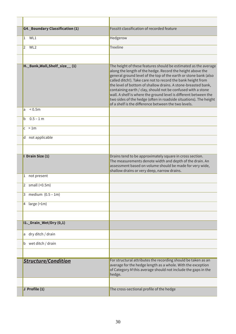| <b>G4. Boundary Classification (1)</b> | <b>Fossitt classification of recorded feature</b>                                                                                                                                                                                                                                                                                                                                                                                                                                                                                                                                                   |
|----------------------------------------|-----------------------------------------------------------------------------------------------------------------------------------------------------------------------------------------------------------------------------------------------------------------------------------------------------------------------------------------------------------------------------------------------------------------------------------------------------------------------------------------------------------------------------------------------------------------------------------------------------|
| WL1<br>$\mathbf{1}$                    | Hedgerow                                                                                                                                                                                                                                                                                                                                                                                                                                                                                                                                                                                            |
| WL <sub>2</sub><br>2                   | <b>Treeline</b>                                                                                                                                                                                                                                                                                                                                                                                                                                                                                                                                                                                     |
|                                        |                                                                                                                                                                                                                                                                                                                                                                                                                                                                                                                                                                                                     |
| H. Bank, Wall, Shelf_size__(1)         | The height of these features should be estimated as the average<br>along the length of the hedge. Record the height above the<br>general ground level of the top of the earth or stone bank (also<br>called ditch!). Take care not to record the bank height from<br>the level of bottom of shallow drains. A stone-breasted bank,<br>containing earth / clay, should not be confused with a stone<br>wall. A shelf is where the ground level is different between the<br>two sides of the hedge (often in roadside situations). The height<br>of a shelf is the difference between the two levels. |
| < 0.5m<br>a                            |                                                                                                                                                                                                                                                                                                                                                                                                                                                                                                                                                                                                     |
| $0.5 - 1 m$<br>b                       |                                                                                                                                                                                                                                                                                                                                                                                                                                                                                                                                                                                                     |
| c > 1m                                 |                                                                                                                                                                                                                                                                                                                                                                                                                                                                                                                                                                                                     |
| d not applicable                       |                                                                                                                                                                                                                                                                                                                                                                                                                                                                                                                                                                                                     |
|                                        |                                                                                                                                                                                                                                                                                                                                                                                                                                                                                                                                                                                                     |
| I Drain Size (1)                       | Drains tend to be approximately square in cross section.<br>The measurements denote width and depth of the drain. An<br>assessment based on volume should be made for very wide,<br>shallow drains or very deep, narrow drains.                                                                                                                                                                                                                                                                                                                                                                     |
| 1 not present                          |                                                                                                                                                                                                                                                                                                                                                                                                                                                                                                                                                                                                     |
| 2 small (<0.5m)                        |                                                                                                                                                                                                                                                                                                                                                                                                                                                                                                                                                                                                     |
| 3 medium $(0.5 - 1m)$                  |                                                                                                                                                                                                                                                                                                                                                                                                                                                                                                                                                                                                     |
| large (>1m)<br>$\vert 4 \vert$         |                                                                                                                                                                                                                                                                                                                                                                                                                                                                                                                                                                                                     |
|                                        |                                                                                                                                                                                                                                                                                                                                                                                                                                                                                                                                                                                                     |
| I1. Drain_Wet/Dry (0,1)                |                                                                                                                                                                                                                                                                                                                                                                                                                                                                                                                                                                                                     |
| dry ditch / drain<br>a                 |                                                                                                                                                                                                                                                                                                                                                                                                                                                                                                                                                                                                     |
| b wet ditch / drain                    |                                                                                                                                                                                                                                                                                                                                                                                                                                                                                                                                                                                                     |
|                                        |                                                                                                                                                                                                                                                                                                                                                                                                                                                                                                                                                                                                     |
| <b>Structure/Condition</b>             | For structural attributes the recording should be taken as an<br>average for the hedge length as a whole. With the exception<br>of Category M this average should not include the gaps in the<br>hedge.                                                                                                                                                                                                                                                                                                                                                                                             |
|                                        |                                                                                                                                                                                                                                                                                                                                                                                                                                                                                                                                                                                                     |
| J Profile (1)                          | The cross-sectional profile of the hedge                                                                                                                                                                                                                                                                                                                                                                                                                                                                                                                                                            |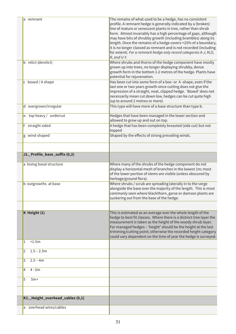| a remnant                        | The remains of what used to be a hedge, has no consistent           |
|----------------------------------|---------------------------------------------------------------------|
|                                  | profile. A remnant hedge is generally indicated by a (broken)       |
|                                  | line of mature or senescent plants in tree, rather than shrub       |
|                                  | form. Almost invariably has a high percentage of gaps, although     |
|                                  | may have bits of shrubby growth (including brambles) along its      |
|                                  | length. Once the remains of a hedge covers <25% of a boundary,      |
|                                  | it is no longer classed as remnant and is not recorded (including   |
|                                  | for extent). For a remnant hedge only record categories A-J, M,O,   |
|                                  | R, and U-Y.                                                         |
| b relict (derelict)              | Where shrubs and thorns of the hedge component have mostly          |
|                                  | grown up into trees, no longer displaying shrubby, dense            |
|                                  | growth form in the bottom 1-2 metres of the hedge. Plants have      |
|                                  | potential for rejuvenation.                                         |
| c boxed / A shape                | Has been cut into some form of a box- or A-shape, even if the       |
|                                  | last one or two years growth since cutting does not give the        |
|                                  | impression of a straight, neat, clipped hedge. 'Boxed' does not     |
|                                  | necessarily mean cut down low, hedges can be cut quite high         |
|                                  | (up to around 2 metres or more).                                    |
| d overgrown/irregular            | This type will have more of a base structure than type b.           |
| e. top heavy / undercut          | Hedges that have been managed in the lower section and              |
|                                  | allowed to grow up and out on top.                                  |
| straight sided                   | A hedge that has been completely breasted (side cut) but not        |
|                                  | topped                                                              |
| g wind-shaped                    | Shaped by the effects of strong prevailing winds.                   |
|                                  |                                                                     |
|                                  |                                                                     |
| J1._Profile_base_suffix (0,2)    |                                                                     |
| a losing basal structure         | Where many of the shrubs of the hedge component do not              |
|                                  | display a horizontal mesh of branches in the lowest 1m; most        |
|                                  | of the lower portion of stems are visible (unless obscured by       |
|                                  | herbage/ground flora).                                              |
| b outgrowths at base             | Where shrubs / scrub are spreading laterally in to the verge        |
|                                  | alongside the base over the majority of the length. This is most    |
|                                  | commonly seen where blackthorn, gorse or damson plants are          |
|                                  | suckering out from the base of the hedge.                           |
|                                  |                                                                     |
| K Height (1)                     | This is estimated as an average over the whole length of the        |
|                                  | hedge to best fit classes. Where there is a distinct tree layer the |
|                                  | measurement is taken as the height of the woody shrub layer.        |
|                                  | For managed hedges - 'height' should be the height at the last      |
|                                  | trimming/cutting point; otherwise the recorded height category      |
| < 1.5m<br>1                      | could vary dependent on the time of year the hedge is surveyed.     |
|                                  |                                                                     |
| $1.5 - 2.5m$<br>2                |                                                                     |
| $2.5 - 4m$<br>3                  |                                                                     |
| $4 - 5m$<br>4                    |                                                                     |
| 5<br>$5m+$                       |                                                                     |
|                                  |                                                                     |
| K1._Height_overhead_cables (0,1) |                                                                     |
|                                  |                                                                     |
| a overhead wires/cables          |                                                                     |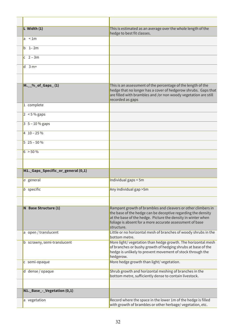| $L$ Width $(1)$                    | This is estimated as an average over the whole length of the<br>hedge to best fit classes.                                                                                                                                                                             |
|------------------------------------|------------------------------------------------------------------------------------------------------------------------------------------------------------------------------------------------------------------------------------------------------------------------|
| a $\leq 1m$                        |                                                                                                                                                                                                                                                                        |
| $b$ 1-2m                           |                                                                                                                                                                                                                                                                        |
| $c \t2 - 3m$                       |                                                                                                                                                                                                                                                                        |
| $d \quad 3 m+$                     |                                                                                                                                                                                                                                                                        |
|                                    |                                                                                                                                                                                                                                                                        |
| $M.$ %_of_Gaps_(1)                 | This is an assessment of the percentage of the length of the<br>hedge that no longer has a cover of hedgerow shrubs. Gaps that<br>are filled with brambles and /or non woody vegetation are still<br>recorded as gaps                                                  |
| 1 complete                         |                                                                                                                                                                                                                                                                        |
| $2 < 5\%$ gaps                     |                                                                                                                                                                                                                                                                        |
| $3\;\; 5 - 10\;\% \;\mathrm{gaps}$ |                                                                                                                                                                                                                                                                        |
| $410 - 25\%$                       |                                                                                                                                                                                                                                                                        |
| $525 - 50%$                        |                                                                                                                                                                                                                                                                        |
| $6 > 50\%$                         |                                                                                                                                                                                                                                                                        |
|                                    |                                                                                                                                                                                                                                                                        |
| M1. Gaps Specific or general (0,1) |                                                                                                                                                                                                                                                                        |
| a general                          | Individual gaps < 5m                                                                                                                                                                                                                                                   |
| $b$ specific                       | Any individual gap > 5m                                                                                                                                                                                                                                                |
|                                    |                                                                                                                                                                                                                                                                        |
| N Base Structure (1)               | Rampant growth of brambles and cleavers or other climbers in<br>the base of the hedge can be deceptive regarding the density<br>at the base of the hedge. Picture the density in winter when<br>foliage is absent for a more accurate assessment of base<br>structure. |
| a open/translucent                 | Little or no horizontal mesh of branches of woody shrubs in the<br>bottom metre.                                                                                                                                                                                       |
| b scrawny, semi-translucent        | More light/vegetation than hedge growth. The horizontal mesh<br>of branches or bushy growth of hedging shrubs at base of the<br>hedge is unlikely to prevent movement of stock through the<br>hedgerow.                                                                |
| c semi-opaque                      | More hedge growth than light/vegetation.                                                                                                                                                                                                                               |
| d dense / opaque                   | Shrub growth and horizontal meshing of branches in the<br>bottom metre, sufficiently dense to contain livestock.                                                                                                                                                       |
| N1._Base_-_Vegetation (0,1)        |                                                                                                                                                                                                                                                                        |
|                                    |                                                                                                                                                                                                                                                                        |
| a vegetation                       | Record where the space in the lower 1m of the hedge is filled<br>with growth of brambles or other herbage/ vegetation, etc.                                                                                                                                            |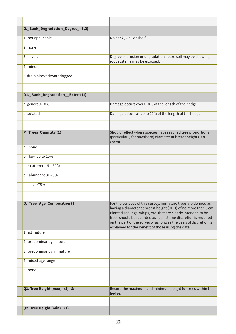| O._Bank_Degradation_Degree_(1,2)   |                                                                                                                                                                                                                                                                                                                             |
|------------------------------------|-----------------------------------------------------------------------------------------------------------------------------------------------------------------------------------------------------------------------------------------------------------------------------------------------------------------------------|
| 1 not applicable                   | No bank, wall or shelf.                                                                                                                                                                                                                                                                                                     |
| 2 none                             |                                                                                                                                                                                                                                                                                                                             |
| 3 severe                           | Degree of erosion or degradation - bare soil may be showing,<br>root systems may be exposed.                                                                                                                                                                                                                                |
| 4 minor                            |                                                                                                                                                                                                                                                                                                                             |
| 5 drain blocked/waterlogged        |                                                                                                                                                                                                                                                                                                                             |
| 01. Bank_Degradation__Extent (1)   |                                                                                                                                                                                                                                                                                                                             |
| a general >10%                     | Damage occurs over >10% of the length of the hedge                                                                                                                                                                                                                                                                          |
| <b>b</b> isolated                  | Damage occurs at up to 10% of the length of the hedge.                                                                                                                                                                                                                                                                      |
| P._Trees_Quantity (1)              | Should reflect where species have reached tree proportions<br>(particularly for hawthorn) diameter at breast height (DBH<br>$>8cm$ ).                                                                                                                                                                                       |
| none<br>a                          |                                                                                                                                                                                                                                                                                                                             |
| b few up to 15%                    |                                                                                                                                                                                                                                                                                                                             |
| scattered 15 - 30%<br>$\mathsf{C}$ |                                                                                                                                                                                                                                                                                                                             |
| abundant 31-75%<br>d               |                                                                                                                                                                                                                                                                                                                             |
| $e$ line >75%                      |                                                                                                                                                                                                                                                                                                                             |
| Q._Tree_Age_Composition (1)        | For the purpose of this survey, immature trees are defined as                                                                                                                                                                                                                                                               |
|                                    | having a diameter at breast height (DBH) of no more than 8 cm.<br>Planted saplings, whips, etc. that are clearly intended to be<br>trees should be recorded as such. Some discretion is required<br>on the part of the surveyor as long as the basis of discretion is<br>explained for the benefit of those using the data. |
| 1 all mature                       |                                                                                                                                                                                                                                                                                                                             |
| 2 predominantly mature             |                                                                                                                                                                                                                                                                                                                             |
| 3 predominantly immature           |                                                                                                                                                                                                                                                                                                                             |
| 4 mixed age range                  |                                                                                                                                                                                                                                                                                                                             |
| 5 none                             |                                                                                                                                                                                                                                                                                                                             |
| Q1. Tree Height (max) (1) &        | Record the maximum and minimum height for trees within the                                                                                                                                                                                                                                                                  |
|                                    | hedge.                                                                                                                                                                                                                                                                                                                      |
| Q2. Tree Height (min) (1)          |                                                                                                                                                                                                                                                                                                                             |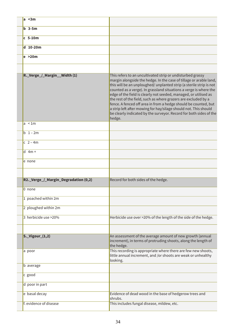| a < 3m                               |                                                                                                                                                                                                                                                                                                                                                                                                                                                                                                                                                                                                                                           |
|--------------------------------------|-------------------------------------------------------------------------------------------------------------------------------------------------------------------------------------------------------------------------------------------------------------------------------------------------------------------------------------------------------------------------------------------------------------------------------------------------------------------------------------------------------------------------------------------------------------------------------------------------------------------------------------------|
| $b$ 3-5m                             |                                                                                                                                                                                                                                                                                                                                                                                                                                                                                                                                                                                                                                           |
| $c$ 5-10 $m$                         |                                                                                                                                                                                                                                                                                                                                                                                                                                                                                                                                                                                                                                           |
| $d$ 10-20m                           |                                                                                                                                                                                                                                                                                                                                                                                                                                                                                                                                                                                                                                           |
| e > 20m                              |                                                                                                                                                                                                                                                                                                                                                                                                                                                                                                                                                                                                                                           |
|                                      |                                                                                                                                                                                                                                                                                                                                                                                                                                                                                                                                                                                                                                           |
| R._Verge_/_Margin__Width (1)         | This refers to an uncultivated strip or undisturbed grassy<br>margin alongside the hedge. In the case of tillage or arable land,<br>this will be an unploughed/ unplanted strip (a sterile strip is not<br>counted as a verge). In grassland situations a verge is where the<br>edge of the field is clearly not seeded, managed, or utilised as<br>the rest of the field, such as where grazers are excluded by a<br>fence. A fenced off area in from a hedge should be counted, but<br>a strip left after mowing for hay/silage should not. This should<br>be clearly indicated by the surveyor. Record for both sides of the<br>hedge. |
| a < 1m                               |                                                                                                                                                                                                                                                                                                                                                                                                                                                                                                                                                                                                                                           |
| $b \t1-2m$                           |                                                                                                                                                                                                                                                                                                                                                                                                                                                                                                                                                                                                                                           |
| $c \t2 - 4m$                         |                                                                                                                                                                                                                                                                                                                                                                                                                                                                                                                                                                                                                                           |
| $d$ 4m +                             |                                                                                                                                                                                                                                                                                                                                                                                                                                                                                                                                                                                                                                           |
| e none                               |                                                                                                                                                                                                                                                                                                                                                                                                                                                                                                                                                                                                                                           |
|                                      |                                                                                                                                                                                                                                                                                                                                                                                                                                                                                                                                                                                                                                           |
| R2._Verge_/_Margin_Degradation (0,2) | Record for both sides of the hedge.                                                                                                                                                                                                                                                                                                                                                                                                                                                                                                                                                                                                       |
| 0 none                               |                                                                                                                                                                                                                                                                                                                                                                                                                                                                                                                                                                                                                                           |
| 1 poached within 2m                  |                                                                                                                                                                                                                                                                                                                                                                                                                                                                                                                                                                                                                                           |
| 2 ploughed within 2m                 |                                                                                                                                                                                                                                                                                                                                                                                                                                                                                                                                                                                                                                           |
| 3 herbicide use > 20%                | Herbicide use over >20% of the length of the side of the hedge.                                                                                                                                                                                                                                                                                                                                                                                                                                                                                                                                                                           |
| $S.$ Vigour_ $(1,2)$                 | An assessment of the average amount of new growth (annual<br>increment), in terms of protruding shoots, along the length of<br>the hedge.                                                                                                                                                                                                                                                                                                                                                                                                                                                                                                 |
| a poor                               | This recording is appropriate where there are few new shoots,<br>little annual increment, and /or shoots are weak or unhealthy<br>looking.                                                                                                                                                                                                                                                                                                                                                                                                                                                                                                |
| b average                            |                                                                                                                                                                                                                                                                                                                                                                                                                                                                                                                                                                                                                                           |
| c good                               |                                                                                                                                                                                                                                                                                                                                                                                                                                                                                                                                                                                                                                           |
| d poor in part                       |                                                                                                                                                                                                                                                                                                                                                                                                                                                                                                                                                                                                                                           |
| e basal decay                        | Evidence of dead wood in the base of hedgerow trees and<br>shrubs.                                                                                                                                                                                                                                                                                                                                                                                                                                                                                                                                                                        |
| f. evidence of disease               | This includes fungal disease, mildew, etc.                                                                                                                                                                                                                                                                                                                                                                                                                                                                                                                                                                                                |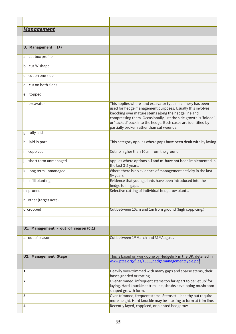| <u>Management</u>                    |                                                                                                                                                                                                                                                                                                                                                               |
|--------------------------------------|---------------------------------------------------------------------------------------------------------------------------------------------------------------------------------------------------------------------------------------------------------------------------------------------------------------------------------------------------------------|
| U._Management_(1+)                   |                                                                                                                                                                                                                                                                                                                                                               |
|                                      |                                                                                                                                                                                                                                                                                                                                                               |
| cut box profile<br>a                 |                                                                                                                                                                                                                                                                                                                                                               |
| cut 'A' shape<br>b                   |                                                                                                                                                                                                                                                                                                                                                               |
| cut on one side<br>C                 |                                                                                                                                                                                                                                                                                                                                                               |
| cut on both sides<br>d               |                                                                                                                                                                                                                                                                                                                                                               |
| topped<br>e                          |                                                                                                                                                                                                                                                                                                                                                               |
| excavator                            | This applies where land excavator type machinery has been<br>used for hedge management purposes. Usually this involves<br>knocking over mature stems along the hedge line and<br>compressing them. Occasionally just the side growth is 'folded'<br>or 'tucked' back into the hedge. Both cases are identified by<br>partially broken rather than cut wounds. |
| fully laid<br>g                      |                                                                                                                                                                                                                                                                                                                                                               |
| laid in part<br>h                    | This category applies where gaps have been dealt with by laying                                                                                                                                                                                                                                                                                               |
| coppiced                             | Cut no higher than 10cm from the ground                                                                                                                                                                                                                                                                                                                       |
| short term unmanaged                 | Applies where options a-i and m have not been implemented in<br>the last 3-5 years.                                                                                                                                                                                                                                                                           |
| long term unmanaged<br>k.            | Where there is no evidence of management activity in the last<br>5+ years.                                                                                                                                                                                                                                                                                    |
| infill planting                      | Evidence that young plants have been introduced into the<br>hedge to fill gaps.                                                                                                                                                                                                                                                                               |
| m pruned                             | Selective cutting of individual hedgerow plants.                                                                                                                                                                                                                                                                                                              |
| n other (target note)                |                                                                                                                                                                                                                                                                                                                                                               |
| o cropped                            | Cut between 10cm and 1m from ground (high coppicing.)                                                                                                                                                                                                                                                                                                         |
|                                      |                                                                                                                                                                                                                                                                                                                                                               |
| U1._Management_-_out_of_season (0,1) |                                                                                                                                                                                                                                                                                                                                                               |
| a. out of season                     | Cut between 1 <sup>st</sup> March and 31 <sup>st</sup> August.                                                                                                                                                                                                                                                                                                |
|                                      |                                                                                                                                                                                                                                                                                                                                                               |
| U2._Management_Stage                 | This is based on work done by Hedgelink in the UK, detailed in<br>www.ptes.org/files/1353_hedgemanagementcycle.pdf                                                                                                                                                                                                                                            |
| 1                                    | Heavily over-trimmed with many gaps and sparse stems, their<br>bases gnarled or rotting.                                                                                                                                                                                                                                                                      |
| $\overline{\mathbf{2}}$              | Over-trimmed, infrequent stems too far apart to be 'let up' for<br>laying. Hard knuckle at trim line, shrubs developing mushroom<br>shaped growth form.                                                                                                                                                                                                       |
| 3                                    | Over-trimmed, frequent stems. Stems still healthy but require<br>more height. Hard knuckle may be starting to form at trim line.                                                                                                                                                                                                                              |
| 4                                    | Recently layed, coppiced, or planted hedgerow.                                                                                                                                                                                                                                                                                                                |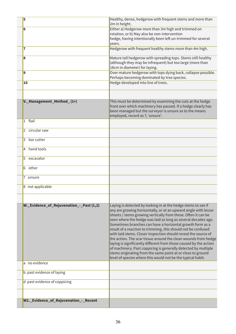| W1._Evidence_of_Rejuvenation_-_Recent    |                                                                                                                                                                                                                                                                                                                                                                                                                                                                                                                                                                                                                                                                                                                                                                                                           |
|------------------------------------------|-----------------------------------------------------------------------------------------------------------------------------------------------------------------------------------------------------------------------------------------------------------------------------------------------------------------------------------------------------------------------------------------------------------------------------------------------------------------------------------------------------------------------------------------------------------------------------------------------------------------------------------------------------------------------------------------------------------------------------------------------------------------------------------------------------------|
|                                          |                                                                                                                                                                                                                                                                                                                                                                                                                                                                                                                                                                                                                                                                                                                                                                                                           |
| d past evidence of coppicing             |                                                                                                                                                                                                                                                                                                                                                                                                                                                                                                                                                                                                                                                                                                                                                                                                           |
| b past evidence of laying                |                                                                                                                                                                                                                                                                                                                                                                                                                                                                                                                                                                                                                                                                                                                                                                                                           |
| a no evidence                            |                                                                                                                                                                                                                                                                                                                                                                                                                                                                                                                                                                                                                                                                                                                                                                                                           |
| W. Evidence_of_Rejuvenation_-_Past (1,2) | Laying is detected by looking in at the hedge stems to see if<br>any are growing horizontally, or at an upward angle with lesser<br>shoots / stems growing vertically from these. Often it can be<br>seen where the hedge was laid as long as several decades ago.<br>Sometimes branches can have a horizontal growth form as a<br>result of a reaction to trimming, this should not be confused<br>with laid stems. Closer inspection should reveal the source of<br>the action. The scar tissue around the clean wounds from hedge<br>laying is significantly different from those caused by the action<br>of machinery. Past coppicing is generally detected by multiple<br>stems originating from the same point at or close to ground<br>level of species where this would not be the typical habit. |
|                                          |                                                                                                                                                                                                                                                                                                                                                                                                                                                                                                                                                                                                                                                                                                                                                                                                           |
| 8 not applicable                         |                                                                                                                                                                                                                                                                                                                                                                                                                                                                                                                                                                                                                                                                                                                                                                                                           |
| 7 unsure                                 |                                                                                                                                                                                                                                                                                                                                                                                                                                                                                                                                                                                                                                                                                                                                                                                                           |
| other<br>6                               |                                                                                                                                                                                                                                                                                                                                                                                                                                                                                                                                                                                                                                                                                                                                                                                                           |
| 5<br>excavator                           |                                                                                                                                                                                                                                                                                                                                                                                                                                                                                                                                                                                                                                                                                                                                                                                                           |
| hand tools<br>4                          |                                                                                                                                                                                                                                                                                                                                                                                                                                                                                                                                                                                                                                                                                                                                                                                                           |
| bar cutter<br>3                          |                                                                                                                                                                                                                                                                                                                                                                                                                                                                                                                                                                                                                                                                                                                                                                                                           |
| circular saw<br>2                        |                                                                                                                                                                                                                                                                                                                                                                                                                                                                                                                                                                                                                                                                                                                                                                                                           |
| flail<br>$\mathbf{1}$                    | employed, record as 7, 'unsure'.                                                                                                                                                                                                                                                                                                                                                                                                                                                                                                                                                                                                                                                                                                                                                                          |
| V._Management_Method_(1+)                | This must be determined by examining the cuts at the hedge<br>front over which machinery has passed. If a hedge clearly has<br>been managed but the surveyor is unsure as to the means                                                                                                                                                                                                                                                                                                                                                                                                                                                                                                                                                                                                                    |
|                                          |                                                                                                                                                                                                                                                                                                                                                                                                                                                                                                                                                                                                                                                                                                                                                                                                           |
| 10                                       | Hedge developed into line of trees.                                                                                                                                                                                                                                                                                                                                                                                                                                                                                                                                                                                                                                                                                                                                                                       |
| 9                                        | (although they may be infrequent) but too large (more than<br>18cm in diameter) for laying.<br>Over-mature hedgerow with tops dying back, collapse possible.<br>Perhaps becoming dominated by tree species.                                                                                                                                                                                                                                                                                                                                                                                                                                                                                                                                                                                               |
| 8                                        | Mature tall hedgerow with spreading tops. Stems still healthy                                                                                                                                                                                                                                                                                                                                                                                                                                                                                                                                                                                                                                                                                                                                             |
| 7                                        | hedge, having intentionally been left un-trimmed for several<br>years.<br>Hedgerow with frequent healthy stems more than 4m high.                                                                                                                                                                                                                                                                                                                                                                                                                                                                                                                                                                                                                                                                         |
| 6                                        | Either a) Hedgerow more than 3m high and trimmed on<br>rotation, or b) May also be non-intervention                                                                                                                                                                                                                                                                                                                                                                                                                                                                                                                                                                                                                                                                                                       |
| 5                                        | Healthy, dense, hedgerow with frequent stems and more than<br>2m in height.                                                                                                                                                                                                                                                                                                                                                                                                                                                                                                                                                                                                                                                                                                                               |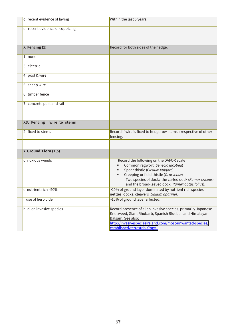| c recent evidence of laying    | Within the last 5 years.                                                                                                                                                                                                                                            |
|--------------------------------|---------------------------------------------------------------------------------------------------------------------------------------------------------------------------------------------------------------------------------------------------------------------|
| d recent evidence of coppicing |                                                                                                                                                                                                                                                                     |
|                                |                                                                                                                                                                                                                                                                     |
| $X$ Fencing $(1)$              | Record for both sides of the hedge.                                                                                                                                                                                                                                 |
| 1 none                         |                                                                                                                                                                                                                                                                     |
| 3 electric                     |                                                                                                                                                                                                                                                                     |
| 4 post & wire                  |                                                                                                                                                                                                                                                                     |
| 5 sheep wire                   |                                                                                                                                                                                                                                                                     |
| 6 timber fence                 |                                                                                                                                                                                                                                                                     |
| 7 concrete post and rail       |                                                                                                                                                                                                                                                                     |
|                                |                                                                                                                                                                                                                                                                     |
| X3. Fencing __ wire_to_stems   |                                                                                                                                                                                                                                                                     |
| 2 fixed to stems               | Record if wire is fixed to hedgerow stems irrespective of other<br>fencing.                                                                                                                                                                                         |
|                                |                                                                                                                                                                                                                                                                     |
| Y Ground Flora (1,5)           |                                                                                                                                                                                                                                                                     |
| d noxious weeds                | Record the following on the DAFOR scale<br>Common ragwort (Senecio jacobea)<br>Spear thistle (Cirsium vulgare)<br>Creeping or field thistle (C. arvense)<br>Two species of dock: the curled dock (Rumex crispus)<br>and the broad-leaved dock (Rumex obtusifolius). |
| e nutrient rich >20%           | >20% of ground layer dominated by nutrient rich species -<br>nettles, docks, cleavers (Galium aparine).                                                                                                                                                             |
| f use of herbicide             | >10% of ground layer affected.                                                                                                                                                                                                                                      |
| h. alien invasive species      | Record presence of alien invasive species, primarily Japanese<br>Knotweed, Giant Rhubarb, Spanish Bluebell and Himalayan<br>Balsam. See also;<br>http://invasivespeciesireland.com/most-unwanted-species/<br>established/terrestrial/?pg=1                          |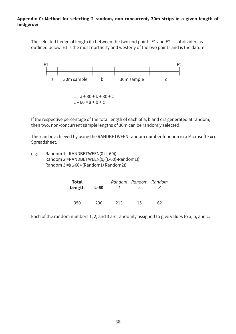#### **Appendix C: Method for selecting 2 random, non-concurrent, 30m strips in a given length of hedgerow**

The selected hedge of length (L) between the two end points E1 and E2 is subdivided as outlined below. E1 is the most northerly and westerly of the two points and is the datum.



If the respective percentage of the total length of each of a, b and c is generated at random, then two, non-concurrent sample lengths of 30m can be randomly selected.

This can be achieved by using the RANDBETWEEN random number function in a Microsoft Excel Spreadsheet.

 $e.g.$  Random 1 = RANDBETWEEN $(0,(L-60))$ Random 2 = RANDBETWEEN(0,((L-60)-Random1)) Random 3 = ((L-60) - (Random1+ Random2))

| <b>Total</b><br>Length | L-60 | $\mathbf{I}$ | Random Random Random<br>$\lambda$ | -≺ |
|------------------------|------|--------------|-----------------------------------|----|
| 350                    | 290. | 213          | 15                                | 62 |

Each of the random numbers 1, 2, and 3 are randomly assigned to give values to a, b, and c.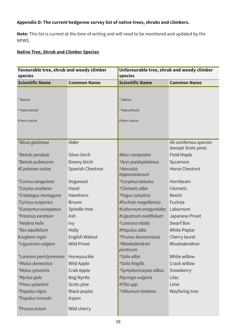## Appendix D: The current hedgerow survey list of native trees, shrubs and climbers.

Note: This list is current at the time of writing and will need to be monitored and updated by the NPWS.

## **Native Tree, Shrub and Climber Species**

| Favourable tree, shrub and woody climber<br>species |                    | Unfavourable tree, shrub and woody climber<br>species |                                               |
|-----------------------------------------------------|--------------------|-------------------------------------------------------|-----------------------------------------------|
| <b>Scientific Name</b>                              | <b>Common Name</b> | <b>Scientific Name</b>                                | <b>Common Name</b>                            |
|                                                     |                    |                                                       |                                               |
| * Native                                            |                    | * Native                                              |                                               |
| ^ Naturalised                                       |                    | ^ Naturalised                                         |                                               |
| # Non-native                                        |                    | # Non-native                                          |                                               |
|                                                     |                    |                                                       |                                               |
| *Alnus glutinosa                                    | Alder              |                                                       | All coniferous species<br>(except Scots pine) |
| *Betula pendula                                     | Silver birch       | #Acer campestre                                       | Field Maple                                   |
| *Betula pubescens                                   | Downy birch        | <b>Acer pseduplatanus</b>                             | Sycamore                                      |
| #Castanea sativa                                    | Spanish Chestnut   | <b>Aesculus</b><br>hippocastanum                      | <b>Horse Chestnut</b>                         |
| *Cornus sanguinea                                   | Dogwood            | <sup>^</sup> Carpinus betulus                         | Hornbeam                                      |
| *Corylus avellana                                   | Hazel              | <sup>^</sup> Clematis alba                            | Clematis                                      |
| *Crataegus monogyna                                 | Hawthorn           | <b>^Fagus sylvatica</b>                               | <b>Beech</b>                                  |
| <i>*Cytisus scoparius</i>                           | <b>Broom</b>       | #Fuchsia magellanica                                  | Fuchsia                                       |
| *Euonymus europaeus                                 | Spindle-tree       | #Laburnum anagyroides                                 | Laburnum                                      |
| <i>*Fraxinus excelsior</i>                          | Ash                | #Ligustrum ovalifolium                                | Japanese Privet                               |
| *Hedera helix                                       | <b>Ivy</b>         | <sup>N</sup> Lonicera nitida                          | <b>Dwarf Box</b>                              |
| *Ilex aquifolium                                    | Holly              | #Populus alba                                         | <b>White Poplar</b>                           |
| #Juglans regia                                      | English Walnut     | <b>^Prunus laurocerasus</b>                           | Cherry laurel                                 |
| ^Liqustrum vulgare                                  | <b>Wild Privet</b> | <b>Rhododendron</b><br>ponticum                       | Rhododendron                                  |
| *Lonicera periclymenum                              | Honeysuckle        | <sup>^</sup> Salix alba                               | White willow                                  |
| Malus domestica                                     | Wild Apple         | <b>^Salix fragilis</b>                                | Crack willow                                  |
| *Malus sylvestris                                   | Crab Apple         | <sup>^</sup> Symphoricarpos albus                     | Snowberry                                     |
| *Myrica gale                                        | <b>Bog Myrtle</b>  | #Syringa vulgaris                                     | Lilac                                         |
| *Pinus sylvestris                                   | Scots pine         | #Tilia spp.                                           | Lime                                          |
| *Populus nigra                                      | Black poplar       | <b>Niburnum lantana</b>                               | Wayfaring tree                                |
| *Populus tremula                                    | Aspen              |                                                       |                                               |
| *Prunus avium                                       | Wild cherry        |                                                       |                                               |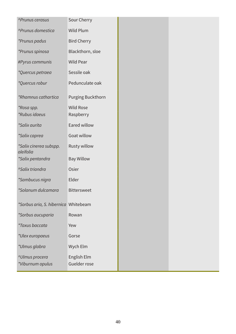| <b>^Prunus cerasus</b>               | Sour Cherry        |
|--------------------------------------|--------------------|
| <b>^Prunus domestica</b>             | Wild Plum          |
| *Prunus padus                        | <b>Bird Cherry</b> |
| *Prunus spinosa                      | Blackthorn, sloe   |
| #Pyrus communis                      | Wild Pear          |
| *Quercus petraea                     | Sessile oak        |
| *Quercus robur                       | Pedunculate oak    |
| *Rhamnus cathartica                  | Purging Buckthorn  |
| *Rosa spp.                           | <b>Wild Rose</b>   |
| *Rubus idaeus                        | Raspberry          |
| *Salix aurita                        | Eared willow       |
| *Salix caprea                        | Goat willow        |
| *Salix cinerea subspp.<br>oleifolia  | Rusty willow       |
| *Salix pentandra                     | <b>Bay Willow</b>  |
| <sup>^</sup> Salix triandra          | Osier              |
| *Sambucus nigra                      | Elder              |
| *Solanum dulcamara                   | <b>Bittersweet</b> |
| *Sorbus aria, S. hibernica Whitebeam |                    |
| *Sorbus aucuparia                    | Rowan              |
| <i>*Taxus baccata</i>                | Yew                |
| *Ulex europaeus                      | Gorse              |
| *Ulmus glabra                        | Wych Elm           |
| <sup>^</sup> Ulmus procera           | English Elm        |
| *Viburnum opulus                     | Guelder rose       |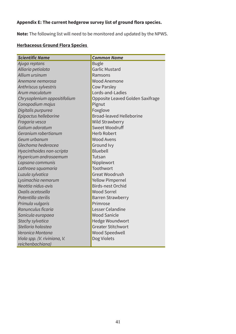## **Appendix E: The current hedgerow survey list of ground flora species.**

**Note:** The following list will need to be monitored and updated by the NPWS.

## **Herbaceous Ground Flora Species**

| <b>Scientific Name</b>       | <b>Common Name</b>               |  |
|------------------------------|----------------------------------|--|
| Ajuga reptans                | <b>Bugle</b>                     |  |
| Alliaria petiolata           | <b>Garlic Mustard</b>            |  |
| Allium ursinum               | Ramsons                          |  |
| Anemone nemorosa             | <b>Wood Anemone</b>              |  |
| Anthriscus sylvestris        | <b>Cow Parsley</b>               |  |
| Arum maculatum               | Lords-and-Ladies                 |  |
| Chrysoplenium oppositifolium | Opposite Leaved Golden Saxifrage |  |
| Conopodium majus             | Pignut                           |  |
| Digitalis purpurea           | Foxglove                         |  |
| Epipactus helleborine        | <b>Broad-leaved Helleborine</b>  |  |
| Fragaria vesca               | <b>Wild Strawberry</b>           |  |
| Galium odoratum              | Sweet Woodruff                   |  |
| Geranium robertianum         | <b>Herb Robert</b>               |  |
| Geum urbanum                 | <b>Wood Avens</b>                |  |
| Glechoma hederacea           | Ground Ivy                       |  |
| Hyacinthoides non-scripta    | <b>Bluebell</b>                  |  |
| Hypericum androsaemum        | Tutsan                           |  |
| Lapsana communis             | Nipplewort                       |  |
| Lathraea squamaria           | Toothwort                        |  |
| Luzula sylvatica             | <b>Great Woodrush</b>            |  |
| Lysimachia nemorum           | <b>Yellow Pimpernel</b>          |  |
| Neottia nidus-avis           | <b>Birds-nest Orchid</b>         |  |
| Oxalis acetosella            | <b>Wood Sorrel</b>               |  |
| Potentilla sterilis          | <b>Barren Strawberry</b>         |  |
| Primula vulgaris             | Primrose                         |  |
| Ranunculus ficaria           | Lesser Celandine                 |  |
| Sanicula europaea            | <b>Wood Sanicle</b>              |  |
| Stachy sylvatica             | Hedge Woundwort                  |  |
| Stellaria holostea           | <b>Greater Stitchwort</b>        |  |
| Veronica Montana             | <b>Wood Speedwell</b>            |  |
| Viola spp. (V. riviniana, V. | Dog Violets                      |  |
| reichenbachiana)             |                                  |  |